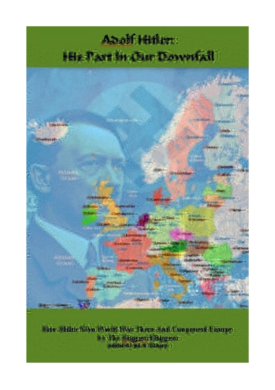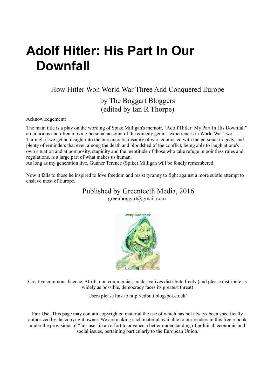# **Adolf Hitler: His Part In Our Downfall**

#### How Hitler Won World War Three And Conquered Europe

## by The Boggart Bloggers (edited by Ian R Thorpe)

Acknowledgement:

The main title is a play on the wording of Spike Milligan's memoir, "Adolf Hitler: My Part In His Downfall" an hilarious and often moving personal account of the comedy genius' experiences in World War Two. Through it we get an insight into the bureaucratic insanity of war, contrasted with the personal tragedy, and plenty of reminders that even among the death and bloodshed of the conflict, being able to laugh at one's own situation and at pomposity, stupidity and the ineptitude of those who take refuge in pointless rules and regulations, is a large part of what makes us human.

As long as my generation live, Gunner Terence (Spike) Milligan will be fondly remembered.

Now it falls to those he inspired to love freedom and resist tyranny to fight against a more subtle attempt to enslave most of Europe.

## Published by Greenteeth Media, 2016

greenboggart@gmail.com



Creative commons licence, Attrib, non commercial, no derivatives distribute freely (and please distribute as widely as possible, democracy faces its greatest threat)

Users please link to http://edbutt.blogspot.co.uk/

Fair Use: This page may contain copyrighted material the use of which has not always been specifically authorized by the copyright owner. We are making such material available to our readers in this free e-book under the provisions of "fair use" in an effort to advance a better understanding of political, economic and social issues, pertaining particularly to the European Union.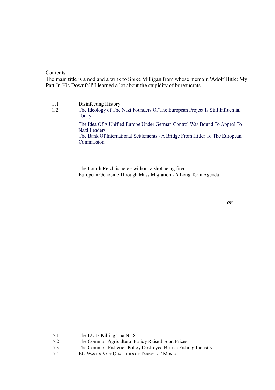#### Contents

The main title is a nod and a wink to Spike Milligan from whose memoir, 'Adolf Hitle: My Part In His Downfall' I learned a lot about the stupidity of bureaucrats

- 1.1 Disinfecting History<br>1.2 The Ideology of The
- The Ideology of The Nazi Founders Of The European Project Is Still Influential Today

**1.3** The Idea Of A Unified Europe Under German Control Was Bound To Appeal To Nazi Leaders

**1.4** The Bank Of International Settlements - A Bridge From Hitler To The European Commission

**2.1** The Fourth Reich is here - without a shot being fired **2.2** European Genocide Through Mass Migration - A Long Term Agenda

**3.4 HE C[OUDENHOVE](http://tapnewswire.com/2016/05/the-coudenhove-kalergi-plan-the-genocide-of-the-peoples-of-europe/)-KALERGI PLAN – THE GENOCIDE OF THE PEOPLES OF EUROPE**

- 5.1 The EU Is Killing The NHS
- 5.2 The Common Agricultural Policy Raised Food Prices
- 5.3 The Common Fisheries Policy Destroyed British Fishing Industry
- 5.4 EU WASTES VAST QUANTITIES OF TAXPAYERS' MONEY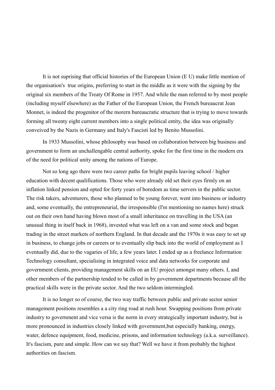It is not suprising that official histories of the European Union (E U) make little mention of the organisation's true origins, preferring to start in the middle as it were with the signing by the original six members of the Treaty Of Rome in 1957. And while the man referred to by most people (including myself elsewhere) as the Father of the European Union, the French bureaucrat Jean Monnet, is indeed the progenitor of the morern bureaucratic structure that is trying to move towards forming all twenty eight current members into a single political entity, the idea was originally conveived by the Nazis in Germany and Italy's Fascisti led by Benito Mussolini.

In 1933 Mussolini, whose philosophy was based on collaboration between big business and government to form an unchallengable central authority, spoke for the first time in the modern era of the need for political unity among the nations of Europe.

Not so long ago there were two career paths for bright pupils leaving school / higher education with decent qualifications. Those who were already old set their eyes firmly on an inflation linked pension and opted for forty years of boredom as time servers in the public sector. The risk takers, adventurers, those who planned to be young forever, went into business or industry and, some eventually, the entrepreneurial, the irresponsible (I'm mentioning no names here) struck out on their own hand having blown most of a small inheritance on travelling in the USA (an unusual thing in itself back in 1968), invested what was left on a van and some stock and began trading in the street markets of northern England. In that decade and the 1970s it was easy to set up in business, to change jobs or careers or to eventually slip back into the world of employment as I eventually did, due to the vagaries of life, a few years later. I ended up as a freelance Information Technology consultant, specialising in integrated voice and data networks for corporate and government clients, providing management skills on an EU project amongst many others. I, and other members of the partnership tended to be called in by government departments because all the practical skills were in the private sector. And the two seldom intermingled.

It is no longer so of course, the two way traffic between public and private sector senior management positions resembles a a city ring road at rush hour. Swapping positions from private industry to government and vice versa is the norm in every strategically important industry, but is more pronounced in industries closely linked with government,but especially banking, energy, water, defence equipment, food, medicine, prisons, and information technology (a.k.a. surveillance). It's fascism, pure and simple. How can we say that? Well we have it from probably the highest authorities on fascism.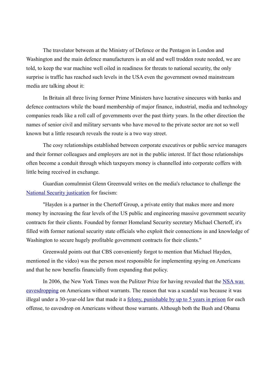The travelator between at the Ministry of Defence or the Pentagon in London and Washington and the main defence manufacturers is an old and well trodden route needed, we are told, to keep the war machine well oiled in readiness for threats to national security, the only surprise is traffic has reached such levels in the USA even the government owned mainstream media are talking about it:

In Britain all three living former Prime Ministers have lucrative sinecures with banks and defence contractors while the board membership of major finance, industrial, media and technology companies reads like a roll call of governments over the past thirty years. In the other direction the names of senior civil and military servants who have moved to the private sector are not so well known but a little research reveals the route is a two way street.

The cosy relationships established between corporate executives or public service managers and their former colleagues and employers are not in the public interest. If fact those relationships often become a conduit through which taxpayers money is channelled into corporate coffers with little being received in exchange.

Guardian comulmnist Glenn Greenwald writes on the media's reluctance to challenge the [National Security justication](http://www.theguardian.com/commentisfree/2013/aug/12/michael-hayden-nsa-media-reverence) for fascism:

"Hayden is a partner in the Chertoff Group, a private entity that makes more and more money by increasing the fear levels of the US public and engineering massive government security contracts for their clients. Founded by former Homeland Security secretary Michael Chertoff, it's filled with former national security state officials who exploit their connections in and knowledge of Washington to secure hugely profitable government contracts for their clients."

Greenwald points out that CBS conveniently forgot to mention that Michael Hayden, mentioned in the video) was the person most responsible for implementing spying on Americans and that he now benefits financially from expanding that policy.

In 2006, the New York Times won the Pulitzer Prize for having revealed that the [NSA was](http://www.nytimes.com/2005/12/16/politics/16program.html?pagewanted=all) [eavesdropping](http://www.nytimes.com/2005/12/16/politics/16program.html?pagewanted=all) on Americans without warrants. The reason that was a scandal was because it was illegal under a 30-year-old law that made it a [felony, punishable by up to 5 years in prison](http://www.law.cornell.edu/uscode/text/50/1809) for each offense, to eavesdrop on Americans without those warrants. Although both the Bush and Obama DOJs ultimately prevented final adjudication by raising claie SkWe,  $\Box 2 \Box$  money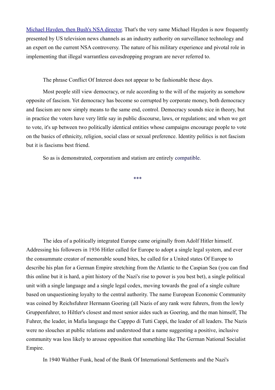[Michael Hayden, then Bush's NSA director.](http://www.theguardian.com/world/nsa) That's the very same Michael Hayden is now frequently presented by US television news channels as an industry authority on surveillance technology and an expert on the current NSA controversy. The nature of his military experience and pivotal role in implementing that illegal warrantless eavesdropping program are never referred to.

The phrase Conflict Of Interest does not appear to be fashionable these days.

Most people still view democracy, or rule according to the will of the majority as somehow opposite of fascism. Yet democracy has become so corrupted by corporate money, both democracy and fascism are now simply means to the same end, control. Democracy sounds nice in theory, but in practice the voters have very little say in public discourse, laws, or regulations; and when we get to vote, it's up between two politically identical entities whose campaigns encourage people to vote on the basics of ethnicity, religion, social class or sexual preference. Identity politics is not fascism but it is fascisms best friend.

So as is demonstrated, corporatism and statism are entirely compatible.

\*\*\*

The idea of a politically integrated Europe came originally from Adolf Hitler himself. Addressing his followers in 1936 Hitler called for Europe to adopt a single legal system, and ever the consummate creator of memorable sound bites, he called for a United states Of Europe to describe his plan for a German Empire stretching from the Atlantic to the Caspian Sea (you can find this online but it is hard, a pint history of the Nazi's rise to power is you best bet), a single political unit with a single language and a single legal codex, moving towards the goal of a single culture based on unquestioning loyalty to the central authority. The name European Economic Community was coined by Reichsfuhrer Hermann Goering (all Nazis of any rank were fuhrers, from the lowly Gruppenfuhrer, to Hiltler's closest and most senior aides such as Goering, and the man himself, The Fuhrer, the leader, in Mafia language the Capppo di Tutti Cappi, the leader of all leaders. The Nazis were no slouches at public relations and understood that a name suggesting a positive, inclusive community was less likely to arouse opposition that something like The German National Socialist Empire.

In 1940 Walther Funk, head of the Bank Of International Settlements and the Nazi's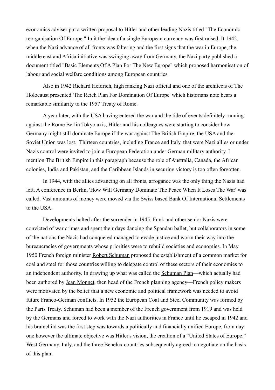economics adviser put a written proposal to Hitler and other leading Nazis titled "The Economic reorganisation Of Europe." In it the idea of a single European currency was first raised. It 1942, when the Nazi advance of all fronts was faltering and the first signs that the war in Europe, the middle east and Africa initiative was swinging away from Germany, the Nazi party published a document titled "Basic Elements Of A Plan For The New Europe" which proposed harmonisation of labour and social welfare conditions among European countries.

Also in 1942 Richard Heidrich, high ranking Nazi official and one of the architects of The Holocaust presented 'The Reich Plan For Domination Of Europe' which historians note bears a remarkable similarity to the 1957 Treaty of Rome.

A year later, with the USA having entered the war and the tide of events definitely running against the Rome Berlin Tokyo axis, Hitler and his colleagues were starting to consider how Germany might still dominate Europe if the war against The British Empire, the USA and the Soviet Union was lost. Thirteen countries, including France and Italy, that were Nazi allies or under Nazis control were invited to join a European Federation under German military authority. I mention The British Empire in this paragraph because the role of Australia, Canada, the African colonies, India and Pakistan, and the Caribbean Islands in securing victory is too often forgotten.

In 1944, with the allies advancing on all fronts, arrogance was the only thing the Nazis had left. A conference in Berlin, 'How Will Germany Dominate The Peace When It Loses The War' was called. Vast amounts of money were moved via the Swiss based Bank Of International Settlements to the USA.

Developments halted after the surrender in 1945. Funk and other senior Nazis were convicted of war crimes and spent their days dancing the Spandau ballet, but collaborators in some of the nations the Nazis had conquered managed to evade justice and worm their way into the bureaucracies of governments whose priorities were to rebuild societies and economies. In May 1950 French foreign minister [Robert Schuman](http://www.britannica.com/biography/Robert-Schuman) proposed the establishment of a common market for coal and steel for those countries willing to delegate control of these sectors of their economies to an independent authority. In drawing up what was called the [Schuman Plan—](http://www.britannica.com/event/Schuman-Plan)which actually had been authored by [Jean Monnet,](http://www.britannica.com/biography/Jean-Monnet) then head of the French planning agency—French policy makers were motivated by the belief that a new economic and political framework was needed to avoid future Franco-German conflicts. In 1952 the European Coal and Steel Community was formed by the Paris Treaty. Schuman had been a member of the French government from 1919 and was held by the Germans and forced to work with the Nazi authorities in France until he escaped in 1942 and his brainchild was the first step was towards a politically and financially unified Europe, from day one however the ultimate objective was Hitler's vision, the creation of a "United States of Europe." West Germany, Italy, and the three Benelux countries subsequently agreed to negotiate on the basis of this plan.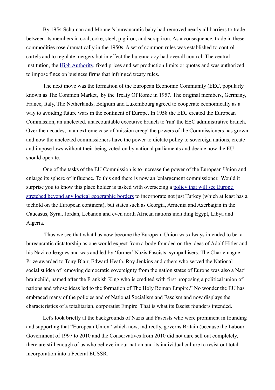By 1954 Schuman and Monnet's bureaucratic baby had removed nearly all barriers to trade between its members in coal, coke, steel, pig iron, and scrap iron. As a consequence, trade in these commodities rose dramatically in the 1950s. A set of common rules was established to control cartels and to regulate mergers but in effect the bureaucracy had overall control. The central institution, the [High Authority,](http://www.britannica.com/topic/High-Authority) fixed prices and set production limits or quotas and was authorized to impose fines on business firms that infringed treaty rules.

The next move was the formation of the European Economic Community (EEC, popularly known as The Common Market, by the Treaty Of Rome in 1957. The original members, Germany, France, Italy, The Netherlands, Belgium and Luxembourg agreed to cooperate economically as a way to avoiding future wars in the continent of Europe. In 1958 the EEC created the European Commission, an unelected, unaccountable executive branch to 'run' the EEC administrative branch. Over the decades, in an extreme case of 'mission creep' the powers of the Commissioners has grown and now the unelected commissioners have the power to dictate policy to sovereign nations, create and impose laws without their being voted on by national parliaments and decide how the EU should operate.

One of the tasks of the EU Commission is to increase the power of the European Union and enlarge its sphere of influence. To this end there is now an 'enlargement commissioner.' Would it surprise you to know this place holder is tasked with overseeing a [policy that will see Europe](http://www.greenteethmm.com/europe-extended.shtml) [stretched beyond any logical geographic borders](http://www.greenteethmm.com/europe-extended.shtml) to incorporate not just Turkey (which at least has a toehold on the European continent), but states such as Georgia, Armenia and Azerbaijan in the Caucasus, Syria, Jordan, Lebanon and even north African nations including Egypt, Libya and Algeria.

Thus we see that what has now become the European Union was always intended to be a bureaucratic dictatorship as one would expect from a body founded on the ideas of Adolf Hitler and his Nazi colleagues and was and led by 'former' Nazis Fascists, sympathisers. The Charlemagne Prize awarded to Tony Blair, Edward Heath, Roy Jenkins and others who served the National socialist idea of removing democratic sovereignty from the nation states of Europe was also a Nazi brainchild, named after the Frankish King who is credited with first proposing a political union of nations and whose ideas led to the formation of The Holy Roman Empire." No wonder the EU has embraced many of the policies and of National Socialism and Fascism and now displays the characteristics of a totalitarian, corporatist Empire. That is what its fascist founders intended.

Let's look briefly at the backgrounds of Nazis and Fascists who were prominent in founding and supporting that "European Union" which now, indirectly, governs Britain (because the Labour Government of 1997 to 2010 and the Conservatives from 2010 did not dare sell out completely, there are still enough of us who believe in our nation and its individual culture to resist out total incorporation into a Federal EUSSR.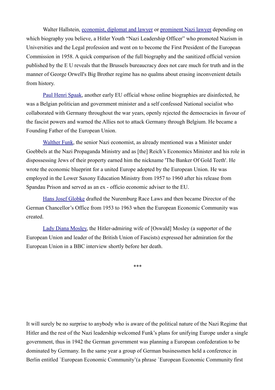Walter Hallstein, [economist, diplomat and lawyer](http://europa.eu/about-eu/eu-history/founding-fathers/pdf/walter_hallstein_en.pdf) or [prominent Nazi lawyer](http://www.reject-the-eu.co.uk/nazi-roots/pdf/chap-uk-hallstein.pdf) depending on which biography you believe, a Hitler Youth "Nazi Leadership Officer" who promoted Nazism in Universities and the Legal profession and went on to become the First President of the European Commission in 1958. A quick comparison of the full biography and the sanitized official version published by the E U reveals that the Brussels bureaucracy does not care much for truth and in the manner of George Orwell's Big Brother regime has no qualms about erasing inconvenient details from history.

[Paul Henri Spaak,](http://www.brusselsjournal.com/node/542) another early EU official whose online biographies are disinfected, he was a Belgian politician and government minister and a self confessed National socialist who collaborated with Germany throughout the war years, openly rejected the democracies in favour of the fascist powers and warned the Allies not to attack Germany through Belgium. He became a Founding Father of the European Union.

[Walther Funk,](http://www.historylearningsite.co.uk/nazi-germany/nazi-leaders/walther-funk/) the senior Nazi economist, as already mentioned was a Minister under Goebbels at the Nazi Propaganda Ministry and as [the] Reich's Economics Minister and his role in dispossessing Jews of their property earned him the nickname 'The Banker Of Gold Teeth'. He wrote the economic blueprint for a united Europe adopted by the European Union. He was employed in the Lower Saxony Education Ministry from 1957 to 1960 after his release from Spandau Prison and served as an ex - officio economic adviser to the EU.

[Hans Josef Globke](http://skepticism.org/timeline/september-history/8608-birth-hans-josef-maria-globke-key-architect-holocaust.html) drafted the Nuremburg Race Laws and then became Director of the German Chancellor's Office from 1953 to 1963 when the European Economic Community was created.

[Lady Diana Mosley,](http://www.guardian.co.uk/news/2003/aug/14/guardianobituaries.thefarright) the Hitler-admiring wife of [Oswald] Mosley (a supporter of the European Union and leader of the British Union of Fascists) expressed her admiration for the European Union in a BBC interview shortly before her death.

\*\*\*

It will surely be no surprise to anybody who is aware of the political nature of the Nazi Regime that Hitler and the rest of the Nazi leadership welcomed Funk's plans for unifying Europe under a single government, thus in 1942 the German government was planning a European confederation to be dominated by Germany. In the same year a group of German businessmen held a conference in Berlin entitled `European Economic Community'(a phrase `European Economic Community first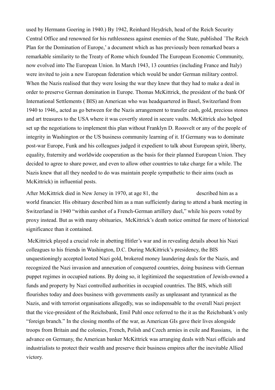used by Hermann Goering in 1940.) By 1942, Reinhard Heydrich, head of the Reich Security Central Office and renowned for his ruthlessness against enemies of the State, published `The Reich Plan for the Domination of Europe,' a document which as has previously been remarked bears a remarkable similarity to the Treaty of Rome which founded The European Economic Community, now evolved into The European Union. In March 1943, 13 countries (including France and Italy) were invited to join a new European federation which would be under German military control. When the Nazis realised that they were losing the war they knew that they had to make a deal in order to preserve German domination in Europe. Thomas McKittrick, the president of the bank Of International Settlements ( BIS) an American who was headquartered in Basel, Switzerland from 1940 to 1946,, acted as go between for the Nazis arrangement to transfer cash, gold, precious stones and art treasures to the USA where it was covertly stored in secure vaults. McKittrick also helped set up the negotiations to implement this plan without Franklyn D. Roosvelt or any of the people of integrity in Washington or the US business community learning of it. If Germany was to dominate post-war Europe, Funk and his colleagues judged it expedient to talk about European spirit, liberty, equality, fraternity and worldwide cooperation as the basis for their planned European Union. They decided to agree to share power, and even to allow other countries to take charge for a while. The Nazis knew that all they needed to do was maintain people sympathetic to their aims (such as McKittrick) in influential posts.

After McKittrick died in New Jersey in 1970, at age 81, the *New York Times* described him as a world financier. His obituary described him as a man sufficiently daring to attend a bank meeting in Switzerland in 1940 "within earshot of a French-German artillery duel," while his peers voted by proxy instead. But as with many obituaries, McKittrick's death notice omitted far more of historical significance than it contained.

 McKittrick played a crucial role in abetting Hitler's war and in revealing details about his Nazi colleagues to his friends in Washington, D.C. During McKittrick's presidency, the BIS unquestioningly accepted looted Nazi gold, brokered money laundering deals for the Nazis, and recognized the Nazi invasion and annexation of conquered countries, doing business with German puppet regimes in occupied nations. By doing so, it legitimized the sequestration of Jewish-owned a funds and property by Nazi controlled authorities in occupied countries. The BIS, which still flourishes today and does business with governments easily as unpleasant and tyrannical as the Nazis, and with terrorist organisations allegedly, was so indispensable to the overall Nazi project that the vice-president of the Reichsbank, Emil Puhl once referred to the it as the Reichsbank's only "foreign branch." In the closing months of the war, as American GIs gave their lives alongside troops from Britain and the colonies, French, Polish and Czech armies in exile and Russians, in the advance on Germany, the American banker McKittrick was arranging deals with Nazi officials and industrialists to protect their wealth and preserve their business empires after the inevitable Allied victory.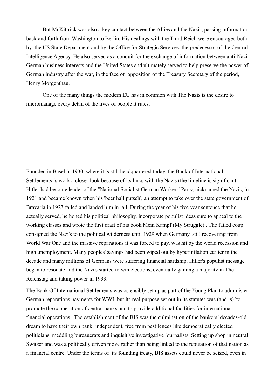But McKittrick was also a key contact between the Allies and the Nazis, passing information back and forth from Washington to Berlin. His dealings with the Third Reich were encouraged both by the US State Department and by the Office for Strategic Services, the predecessor of the Central Intelligence Agency. He also served as a conduit for the exchange of information between anti-Nazi German business interests and the United States and ultimately served to help preserve the power of German industry after the war, in the face of opposition of the Treasury Secretary of the period, Henry Morgenthau.

One of the many things the modern EU has in common with The Nazis is the desire to micromanage every detail of the lives of people it rules.

Founded in Basel in 1930, where it is still headquartered today, the Bank of International Settlements is work a closer look because of its links with the Nazis (the timeline is significant - Hitler had become leader of the "National Socialist German Workers' Party, nicknamed the Nazis, in 1921 and became known when his 'beer hall putsch', an attempt to take over the state government of Bravaria in 1923 failed and landed him in jail. During the year of his five year sentence that he actually served, he honed his political philosophy, incorporate populist ideas sure to appeal to the working classes and wrote the first draft of his book Mein Kampf (My Struggle) . The failed coup consigned the Nazi's to the political wilderness until 1929 when Germany, still recovering from World War One and the massive reparations it was forced to pay, was hit by the world recession and high unemployment. Many peoples' savings had been wiped out by hyperinflation earlier in the decade and many millions of Germans were suffering financial hardship. Hitler's populist message began to resonate and the Nazi's started to win elections, eventually gaining a majority in The Reichstag and taking power in 1933.

The Bank Of International Settlements was ostensibly set up as part of the Young Plan to administer German reparations payments for WWI, but its real purpose set out in its statutes was (and is) 'to promote the cooperation of central banks and to provide additional facilities for international financial operations.' The establishment of the BIS was the culmination of the bankers' decades-old dream to have their own bank; independent, free from pestilences like democratically elected politicians, meddling bureaucrats and inquisitive investigative journalists. Setting up shop in neutral Switzerland was a politically driven move rather than being linked to the reputation of that nation as a financial centre. Under the terms of its founding treaty, BIS assets could never be seized, even in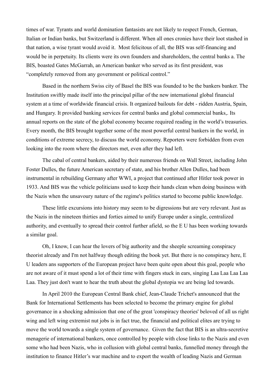times of war. Tyrants and world domination fantasists are not likely to respect French, German, Italian or Indian banks, but Switzerland is different. When all ones cronies have their loot stashed in that nation, a wise tyrant would avoid it. Most felicitous of all, the BIS was self-financing and would be in perpetuity. Its clients were its own founders and shareholders, the central banks a. The BIS, boasted Gates McGarrah, an American banker who served as its first president, was "completely removed from any government or political control."

Based in the northern Swiss city of Basel the BIS was founded to be the bankers banker. The Institution swiftly made itself into the principal pillar of the new international global financial system at a time of worldwide financial crisis. It organized bailouts for debt - ridden Austria, Spain, and Hungary. It provided banking services for central banks and global commercial banks,. Its annual reports on the state of the global economy became required reading in the world's treasuries. Every month, the BIS brought together some of the most powerful central bankers in the world, in conditions of extreme secrecy, to discuss the world economy. Reporters were forbidden from even looking into the room where the directors met, even after they had left.

The cabal of central bankers, aided by their numerous friends on Wall Street, including John Foster Dulles, the future American secretary of state, and his brother Allen Dulles, had been instrumental in rebuilding Germany after WWI, a project that continued after Hitler took power in 1933. And BIS was the vehicle politicians used to keep their hands clean when doing business with the Nazis when the unsavoury nature of the regime's politics started to become public knowledge.

These little excursions into history may seem to be digressions but are very relevant. Just as the Nazis in the nineteen thirties and forties aimed to unify Europe under a single, centralized authority, and eventually to spread their control further afield, so the E U has been working towards a similar goal.

Oh, I know, I can hear the lovers of big authority and the sheeple screaming conspiracy theorist already and I'm not halfway though editing the book yet. But there is no conspiracy here, E U leaders ans supporters of the European project have been quite open about this goal, people who are not aware of it must spend a lot of their time with fingers stuck in ears, singing Laa Laa Laa Laa Laa. They just don't want to hear the truth about the global dystopia we are being led towards.

In April 2010 the European Central Bank chief, Jean-Claude Trichet's announced that the Bank for International Settlements has been selected to become the primary engine for global governance in a shocking admission that one of the great 'conspiracy theories' beloved of all us right wing and left wing extremist nut jobs is in fact true, the financial and political elites are trying to move the world towards a single system of governance. Given the fact that BIS is an ultra-secretive menagerie of international bankers, once controlled by people with close links to the Nazis and even some who had been Nazis, who in collusion with global central banks, funnelled money through the institution to finance Hitler's war machine and to export the wealth of leading Nazis and German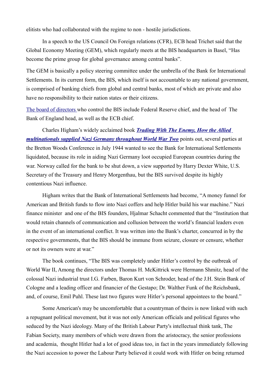elitists who had collaborated with the regime to non - hostile jurisdictions.

In a speech to the US Council On Foreign relations (CFR), ECB head Trichet said that the Global Economy Meeting (GEM), which regularly meets at the BIS headquarters in Basel, "Has become the prime group for global governance among central banks".

The GEM is basically a policy steering committee under the umbrella of the Bank for International Settlements. In its current form, the BIS, which itself is not accountable to any national government, is comprised of banking chiefs from global and central banks, most of which are private and also have no responsibility to their nation states or their citizens.

[The board of directors w](http://en.wikipedia.org/wiki/Bank_for_International_Settlements#Board_of_directors)ho control the BIS include Federal Reserve chief, and the head of The Bank of England head, as well as the ECB chief.

Charles Higham's widely acclaimed book *[Trading With The Enemy, How the Allied](http://www.bilderberg.org/bis.htm#Higham) [multinationals supplied Nazi Germany throughout World War Two](http://www.bilderberg.org/bis.htm#Higham)* points out, several parties at the Bretton Woods Conference in July 1944 wanted to see the Bank for International Settlements liquidated, because its role in aiding Nazi Germany loot occupied European countries during the war. Norway called for the bank to be shut down, a view supported by Harry Dexter White, U.S. Secretary of the Treasury and Henry Morgenthau, but the BIS survived despite its highly contentious Nazi influence.

Higham writes that the Bank of International Settlements had become, "A money funnel for American and British funds to flow into Nazi coffers and help Hitler build his war machine." Nazi finance minister and one of the BIS founders, Hjalmar Schacht commented that the "Institution that would retain channels of communication and collusion between the world's financial leaders even in the event of an international conflict. It was written into the Bank's charter, concurred in by the respective governments, that the BIS should be immune from seizure, closure or censure, whether or not its owners were at war."

The book continues, "The BIS was completely under Hitler's control by the outbreak of World War II, Among the directors under Thomas H. McKittrick were Hermann Shmitz, head of the colossal Nazi industrial trust I.G. Farben, Baron Kurt von Schroder, head of the J.H. Stein Bank of Cologne and a leading officer and financier of the Gestapo; Dr. Walther Funk of the Reichsbank, and, of course, Emil Puhl. These last two figures were Hitler's personal appointees to the board."

Some American's may be uncomfortable that a countryman of theirs is now linked with such a repugnant political movement, but it was not only American officials and political figures who seduced by the Nazi ideology. Many of the British Labour Party's intellectual think tank, The Fabian Society, many members of which were drawn from the aristocracy, the senior professions and academia, thought Hitler had a lot of good ideas too, in fact in the years immediately following the Nazi accession to power the Labour Party believed it could work with Hitler on being returned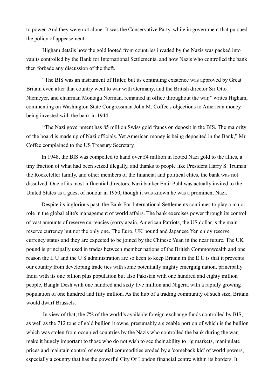to power. And they were not alone. It was the Conservative Party, while in government that pursued the policy of appeasement.

Higham details how the gold looted from countries invaded by the Nazis was packed into vaults controlled by the Bank for International Settlements, and how Nazis who controlled the bank then forbade any discussion of the theft.

"The BIS was an instrument of Hitler, but its continuing existence was approved by Great Britain even after that country went to war with Germany, and the British director Sir Otto Niemeyer, and chairman Montagu Norman, remained in office throughout the war," writes Higham, commenting on Washington State Congressman John M. Coffee's objections to American money being invested with the bank in 1944.

"The Nazi government has 85 million Swiss gold francs on deposit in the BIS. The majority of the board is made up of Nazi officials. Yet American money is being deposited in the Bank," Mr. Coffee complained to the US Treasury Secretary.

In 1948, the BIS was compelled to hand over £4 million in looted Nazi gold to the allies, a tiny fraction of what had been seized illegally, and thanks to people like President Harry S. Truman the Rockefeller family, and other members of the financial and political elites, the bank was not dissolved. One of its most influential directors, Nazi banker Emil Puhl was actually invited to the United States as a guest of honour in 1950, though it was known he was a prominent Nazi.

Despite its inglorious past, the Bank For International Settlements continues to play a major role in the global elite's management of world affairs. The bank exercises power through its control of vast amounts of reserve currencies (sorry again, American Patriots, the US dollar is the main reserve currency but not the only one. The Euro, UK pound and Japanese Yen enjoy reserve currency status and they are expected to be joined by the Chinese Yuan in the near future. The UK pound is principally used in trades between member nations of the British Commonwealth and one reason the E U and the U S administration are so keen to keep Britain in the E U is that it prevents our country from developing trade ties with some potentially mighty emerging nation, principally India with its one billion plus population but also Pakistan with one hundred and eighty million people, Bangla Desh with one hundred and sixty five million and Nigeria with a rapidly growing population of one hundred and fifty million. As the hub of a trading community of such size, Britain would dwarf Brussels.

 In view of that, the 7% of the world's available foreign exchange funds controlled by BIS, as well as the 712 tons of gold bullion it owns, presumably a sizeable portion of which is the bullion which was stolen from occupied countries by the Nazis who controlled the bank during the war, make it hugely important to those who do not wish to see their ability to rig markets, manipulate prices and maintain control of essential commodities eroded by a 'comeback kid' of world powers, especially a country that has the powerful City Of London financial centre within its borders. It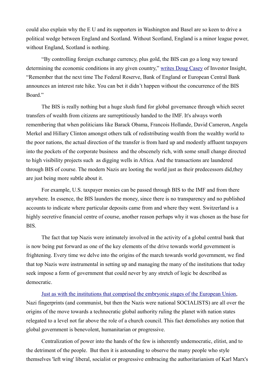could also explain why the E U and its supporters in Washington and Basel are so keen to drive a political wedge between England and Scotland. Without Scotland, England is a minor league power, without England, Scotland is nothing.

"By controlling foreign exchange currency, plus gold, the BIS can go a long way toward determining the economic conditions in any given country," [writes Doug Casey](http://www.investorsinsight.com/blogs/what_we_now_know/archive/2006/03/07/the-most-powerful-bank-you-ve-never-heard-of.aspx) of Investor Insight, "Remember that the next time The Federal Reserve, Bank of England or European Central Bank announces an interest rate hike. You can bet it didn't happen without the concurrence of the BIS Board<sup>"</sup>

The BIS is really nothing but a huge slush fund for global governance through which secret transfers of wealth from citizens are surreptitiously handed to the IMF. It's always worth remembering that when politicians like Barack Obama, Francois Hollande, David Cameron, Angela Merkel and Hillary Clinton amongst others talk of redistributing wealth from the wealthy world to the poor nations, the actual direction of the transfer is from hard up and modestly affluent taxpayers into the pockets of the corporate business and the obscenely rich, with some small change directed to high visibility projects such as digging wells in Africa. And the transactions are laundered through BIS of course. The modern Nazis are looting the world just as their predecessors did,they are just being more subtle about it.

For example, U.S. taxpayer monies can be passed through BIS to the IMF and from there anywhere. In essence, the BIS launders the money, since there is no transparency and no published accounts to indicate where particular deposits came from and where they went. Switzerland is a highly secretive financial centre of course, another reason perhaps why it was chosen as the base for BIS.

The fact that top Nazis were intimately involved in the activity of a global central bank that is now being put forward as one of the key elements of the drive towards world government is frightening. Every time we delve into the origins of the march towards world government, we find that top Nazis were instrumental in setting up and managing the many of the institutions that today seek impose a form of government that could never by any stretch of logic be described as democratic.

[Just as with the institutions that comprised the embryonic stages of the European Union,](http://www.prisonplanet.com/top-nazis-planned-eu-style-fourth-reich.html) Nazi fingerprints (and communist, but then the Nazis were national SOCIALISTS) are all over the origins of the move towards a technocratic global authority ruling the planet with nation states relegated to a level not far above the role of a church council. This fact demolishes any notion that global government is benevolent, humanitarian or progressive.

Centralization of power into the hands of the few is inherently undemocratic, elitist, and to the detriment of the people. But then it is astounding to observe the many people who style themselves 'left wing' liberal, socialist or progressive embracing the authoritarianism of Karl Marx's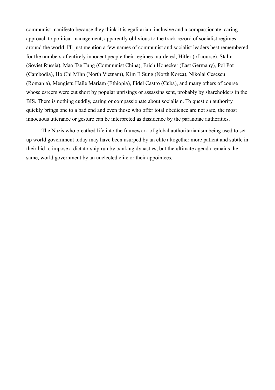communist manifesto because they think it is egalitarian, inclusive and a compassionate, caring approach to political management, apparently oblivious to the track record of socialist regimes around the world. I'll just mention a few names of communist and socialist leaders best remembered for the numbers of entirely innocent people their regimes murdered; Hitler (of course), Stalin (Soviet Russia), Mao Tse Tung (Communist China), Erich Honecker (East Germany), Pol Pot (Cambodia), Ho Chi Mihn (North Vietnam), Kim Il Sung (North Korea), Nikolai Cesescu (Romania), Mengistu Haile Mariam (Ethiopia), Fidel Castro (Cuba), and many others of course whose csreers were cut short by popular uprisings or assassins sent, probably by shareholders in the BIS. There is nothing cuddly, caring or compassionate about socialism. To question authority quickly brings one to a bad end and even those who offer total obedience are not safe, the most innocuous utterance or gesture can be interpreted as dissidence by the paranoiac authorities.

The Nazis who breathed life into the framework of global authoritarianism being used to set up world government today may have been usurped by an elite altogether more patient and subtle in their bid to impose a dictatorship run by banking dynasties, but the ultimate agenda remains the same, world government by an unelected elite or their appointees.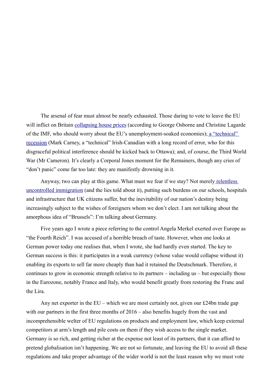The arsenal of fear must almost be nearly exhausted. Those daring to vote to leave the EU will inflict on Britain [collapsing house prices](http://www.telegraph.co.uk/news/2016/05/08/eu-referendum-michael-gove-vs-george-osborne/) (according to George Osborne and Christine Lagarde of the IMF, who should worry about the EU's unemployment-soaked economies)[; a "technical"](http://www.telegraph.co.uk/business/2016/05/12/ftse-100-falters-ahead-of-bank-of-england-decision/) [recession](http://www.telegraph.co.uk/business/2016/05/12/ftse-100-falters-ahead-of-bank-of-england-decision/) (Mark Carney, a "technical" Irish-Canadian with a long record of error, who for this disgraceful political interference should be kicked back to Ottawa); and, of course, the Third World War (Mr Cameron). It's clearly a Corporal Jones moment for the Remainers, though any cries of "don't panic" come far too late: they are manifestly drowning in it.

Anyway, two can play at this game. What must we fear if we stay? Not merel[y relentless](http://www.telegraph.co.uk/opinion/2016/05/13/the-graph-that-shows-immigration-could-decide-the-eu-referendum/) [uncontrolled immigration](http://www.telegraph.co.uk/opinion/2016/05/13/the-graph-that-shows-immigration-could-decide-the-eu-referendum/) (and the lies told about it), putting such burdens on our schools, hospitals and infrastructure that UK citizens suffer, but the inevitability of our nation's destiny being increasingly subject to the wishes of foreigners whom we don't elect. I am not talking about the amorphous idea of "Brussels": I'm talking about Germany.

Five years ago I wrote a piece referring to the control Angela Merkel exerted over Europe as "the Fourth Reich". I was accused of a horrible breach of taste. However, when one looks at German power today one realises that, when I wrote, she had hardly even started. The key to German success is this: it participates in a weak currency (whose value would collapse without it) enabling its exports to sell far more cheaply than had it retained the Deutschmark. Therefore, it continues to grow in economic strength relative to its partners – including us – but especially those in the Eurozone, notably France and Italy, who would benefit greatly from restoring the Franc and the Lira.

Any net exporter in the  $EU$  – which we are most certainly not, given our £24bn trade gap with our partners in the first three months of  $2016$  – also benefits hugely from the vast and incomprehensible welter of EU regulations on products and employment law, which keep external competitors at arm's length and pile costs on them if they wish access to the single market. Germany is so rich, and getting richer at the expense not least of its partners, that it can afford to pretend globalisation isn't happening. We are not so fortunate, and leaving the EU to avoid all these regulations and take proper advantage of the wider world is not the least reason why we must vote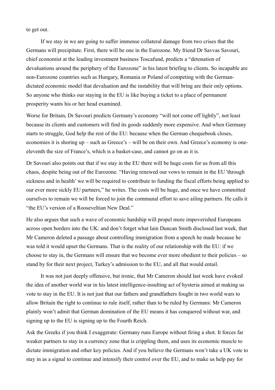to get out.

If we stay in we are going to suffer immense collateral damage from two crises that the Germans will precipitate. First, there will be one in the Eurozone. My friend Dr Savvas Savouri, chief economist at the leading investment business Toscafund, predicts a "detonation of devaluations around the periphery of the Eurozone" in his latest briefing to clients. So incapable are non-Eurozone countries such as Hungary, Romania or Poland of competing with the Germandictated economic model that devaluation and the instability that will bring are their only options. So anyone who thinks our staying in the EU is like buying a ticket to a place of permanent prosperity wants his or her head examined.

Worse for Britain, Dr Savouri predicts Germany's economy "will not come off lightly", not least because its clients and customers will find its goods suddenly more expensive. And when Germany starts to struggle, God help the rest of the EU: because when the German chequebook closes, economies it is shoring up – such as Greece's – will be on their own. And Greece's economy is oneeleventh the size of France's, which is a basket-case, and cannot go on as it is.

Dr Savouri also points out that if we stay in the EU there will be huge costs for us from all this chaos, despite being out of the Eurozone. "Having renewed our vows to remain in the EU 'through sickness and in health' we will be required to contribute to funding the fiscal efforts being applied to our ever more sickly EU partners," he writes. The costs will be huge, and once we have committed ourselves to remain we will be forced to join the communal effort to save ailing partners. He calls it "the EU's version of a Rooseveltian New Deal."

He also argues that such a wave of economic hardship will propel more impoverished Europeans across open borders into the UK: and don't forget what Iain Duncan Smith disclosed last week, that Mr Cameron deleted a passage about controlling immigration from a speech he made because he was told it would upset the Germans. That is the reality of our relationship with the EU: if we choose to stay in, the Germans will ensure that we become ever more obedient to their policies – so stand by for their next project, Turkey's admission to the EU, and all that would entail.

It was not just deeply offensive, but ironic, that Mr Cameron should last week have evoked the idea of another world war in his latest intelligence-insulting act of hysteria aimed at making us vote to stay in the EU. It is not just that our fathers and grandfathers fought in two world wars to allow Britain the right to continue to rule itself, rather than to be ruled by Germans: Mr Cameron plainly won't admit that German domination of the EU means it has conquered without war, and signing up to the EU is signing up to the Fourth Reich.

Ask the Greeks if you think I exaggerate: Germany runs Europe without firing a shot. It forces far weaker partners to stay in a currency zone that is crippling them, and uses its economic muscle to dictate immigration and other key policies. And if you believe the Germans won't take a UK vote to stay in as a signal to continue and intensify their control over the EU, and to make us help pay for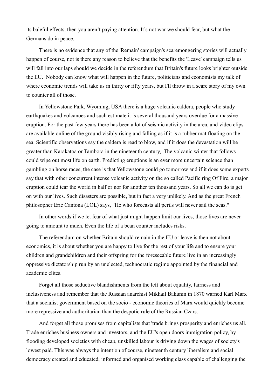its baleful effects, then you aren't paying attention. It's not war we should fear, but what the Germans do in peace.

There is no evidence that any of the 'Remain' campaign's scaremongering stories will actually happen of course, not is there any reason to believe that the benefits the 'Leave' campaign tells us will fall into our laps should we decide in the referendum that Britain's future looks brighter outside the EU. Nobody can know what will happen in the future, politicians and economists my talk of where economic trends will take us in thirty or fifty years, but I'll throw in a scare story of my own to counter all of those.

In Yellowstone Park, Wyoming, USA there is a huge volcanic caldera, people who study earthquakes and volcanoes and such estimate it is several thousand years overdue for a massive eruption. For the past few years there has been a lot of seismic activity in the area, and video clips are available online of the ground visibly rising and falling as if it is a rubber mat floating on the sea. Scientific observations say the caldera is read to blow, and if it does the devastation will be greater than Karakatoa or Tambora in the nineteenth century, The volcanic winter that follows could wipe out most life on earth. Predicting eruptions is an ever more uncertain science than gambling on horse races, the case is that Yellowstone could go tomorrow and if it does some experts say that with other concurrent intense volcanic activity on the so called Pacific ring Of Fire, a major eruption could tear the world in half or nor for another ten thousand years. So all we can do is get on with our lives. Such disasters are possible, but in fact a very unlikely. And as the great French philosopher Eric Cantona (LOL) says, "He who forecasts all perils will never sail the seas."

In other words if we let fear of what just might happen limit our lives, those lives are never going to amount to much. Even the life of a bean counter includes risks.

The referendum on whether Britain should remain in the EU or leave is then not about economics, it is about whether you are happy to live for the rest of your life and to ensure your children and grandchildren and their offspring for the foreseeable future live in an increasingly oppressive dictatorship run by an unelected, technocratic regime appointed by the financial and academic elites.

Forget all those seductive blandishments from the left about equality, fairness and inclusiveness and remember that the Russian anarchist Mikhail Bakunin in 1870 warned Karl Marx that a socialist government based on the socio - economic theories of Marx would quickly become more repressive and authoritarian than the despotic rule of the Russian Czars.

And forget all those promises from capitalists that 'trade brings prosperity and enriches us all. Trade enriches business owners and investors, and the EU's open doors immigration policy, by flooding developed societies with cheap, unskilled labour is driving down the wages of society's lowest paid. This was always the intention of course, nineteenth century liberalism and social democracy created and educated, informed and organised working class capable of challenging the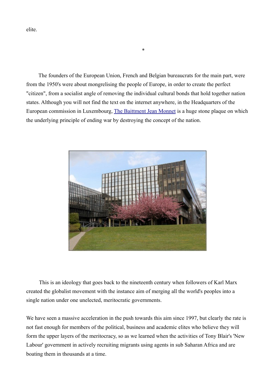elite.

The founders of the European Union, French and Belgian bureaucrats for the main part, were from the 1950's were about mongrelising the people of Europe, in order to create the perfect "citizen", from a socialist angle of removing the individual cultural bonds that hold together nation states. Although you will not find the text on the internet anywhere, in the Headquarters of the European commission in Luxembourg, [The Baittment Jean Monnet](http://www.cvce.eu/en/obj/building_of_the_commission_jean_monnet_building_in_luxembourg-en-ccec7417-e71f-4c3b-b517-d78481a155fa.html) is a huge stone plaque on which the underlying principle of ending war by destroying the concept of the nation.

\*



This is an ideology that goes back to the nineteenth century when followers of Karl Marx created the globalist movement with the instance aim of merging all the world's peoples into a single nation under one unelected, meritocratic governments.

We have seen a massive acceleration in the push towards this aim since 1997, but clearly the rate is not fast enough for members of the political, business and academic elites who believe they will form the upper layers of the meritocracy, so as we learned when the activities of Tony Blair's 'New Labour' government in actively recruiting migrants using agents in sub Saharan Africa and are boating them in thousands at a time.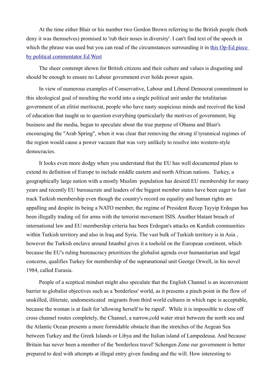At the time either Blair or his number two Gordon Brown referring to the British people (both deny it was themselves) promised to 'rub their noses in diversity'. I can't find text of the speech in which the phrase was used but you can read of the circumstances surrounding it in [this Op-Ed piece](http://blogs.telegraph.co.uk/news/edwest/100025635/labours-secret-plan-to-lure-immigrants-was-borderline-treason-and-plain-stupid/) [by political commentator Ed West](http://blogs.telegraph.co.uk/news/edwest/100025635/labours-secret-plan-to-lure-immigrants-was-borderline-treason-and-plain-stupid/)

The sheer contempt shown for British citizens and their culture and values is disgusting and should be enough to ensure no Labour government ever holds power again.

In view of numerous examples of Conservative, Labour and Liberal Democrat commitment to this ideological goal of moulting the world into a single political unit under the totalitarian government of an elitist meritocrat, people who have nasty suspicious minds and received the kind of education that taught us to question everything (particularly the motives of government, big business and the media, began to speculate about the true purpose of Obama and Blair's encouraging the "Arab Spring", when it was clear that removing the strong if tyrannical regimes of the region would cause a power vacuum that was very unlikely to resolve into western-style democracies.

It looks even more dodgy when you understand that the EU has well documented plans to extend its definition of Europe to include middle eastern and north African nations. Turkey, a geographically large nation with a mostly Muslim population has desired EU membership for many years and recently EU bureaucrats and leaders of the biggest member states have been eager to fast track Turkish membership even though the country's record on equality and human rights are appalling and despite its being a NATO member, the regime of President Recep Tayyip Erdogan has been illegally trading oil for arms with the terrorist movement ISIS. Another blatant breach of international law and EU membership criteria has been Erdogan's attacks on Kurdish communities within Turkish territory and also in Iraq and Syria. The vast bulk of Turkish territory is in Asia , however the Turkish enclave around Istanbul gives it a toehold on the European continent, which because the EU's ruling bureaucracy prioritizes the globalist agenda over humanitarian and legal concerns, qualifies Turkey for membership of the supranational unit George Orwell, in his novel 1984, called Eurasia.

People of a sceptical mindset might also speculate that the English Channel is an inconvenient barrier to globalist objectives such as a 'borderless' world, as it presents a pinch point in the flow of unskilled, illiterate, undomesticated migrants from third world cultures in which rape is acceptable, because the woman is at fault for 'allowing herself to be raped'. While it is impossible to close off cross channel routes completely, the Channel, a narrow,cold water strait between the north sea and the Atlantic Ocean presents a more formidable obstacle than the stretches of the Aegean Sea between Turkey and the Greek Islands or Libya and the Italian island of Lampedeusa. And because Britain has never been a member of the 'borderless travel' Schengen Zone our government is better prepared to deal with attempts at illegal entry given funding and the will. How interesting to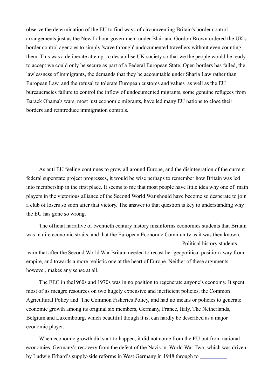observe the determination of the EU to find ways of circumventing Britain's border control arrangements just as the New Labour government under Blair and Gordon Brown ordered the UK's border control agencies to simply 'wave through' undocumented travellers without even counting them. This was a deliberate attempt to destabilise UK society so that we the people would be ready to accept we could only be secure as part of a Federal European State. Open borders has failed, the lawlessness of immigrants, the demands that they be accountable under Sharia Law rather than European Law, and the refusal to tolerate European customs and values as well as the EU bureaucracies failure to control the inflow of undocumented migrants, some genuine refugees from Barack Obama's wars, most just economic migrants, have led many EU nations to close their borders and reintroduce immigration controls.

**Voters in Britain's referendum, and win or lose, in future European, government and**

**regional elections need to understand that the European Union was about building a federal superstate from day one Even if we vote 'OUT' the Labour and Conservative parties (and the**

**neo - fascist Scottish National Party) will do all they can to obstruct the disengagement**

**process.** 

As anti EU feeling continues to grow all around Europe, and the disintegration of the current federal superstate project progresses, it would be wise perhaps to remember how Britain was led into membership in the first place. It seems to me that most people have little idea why one of main players in the victorious alliance of the Second World War should have become so desperate to join a club of losers so soon after that victory. The answer to that question is key to understanding why the EU has gone so wrong.

The official narrative of twentieth century history misinforms economics students that Britain was in dire economic straits, and that the European Economic Community as it was then known, **[provided an economic engine which could revitalise our economy](http://www.telegraph.co.uk/news/politics/8145390/Harold-Macmillans-never-had-it-so-good-speech-followed-the-1950s-boom.html)**. Political history students learn that after the Second World War Britain needed to recast her geopolitical position away from empire, and towards a more realistic one at the heart of Europe. Neither of these arguments, however, makes any sense at all.

The EEC in the1960s and 1970s was in no position to regenerate anyone's economy. It spent most of its meagre resources on two hugely expensive and inefficient policies, the Common Agricultural Policy and The Common Fisheries Policy, and had no means or policies to generate economic growth among its original six members, Germany, France, Italy, The Netherlands, Belgium and Luxembourg, which beautiful though it is, can hardly be described as a major economic player.

When economic growth did start to happen, it did not come from the EU but from national economies, Germany's recovery from the defeat of the Nazis in World War Two, which was driven by Ludwig Erhard's supply-side reforms in West Germany in 1948 through to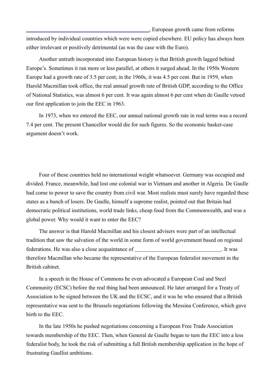**[privatisation of nationalised industry in the Eighties](http://www.telegraph.co.uk/news/newstopics/eureferendum/11652504/Seven-lessons-from-Britains-1975-EEC-referendum.html)**, European growth came from reforms introduced by individual countries which were were copied elsewhere. EU policy has always been either irrelevant or positively detrimental (as was the case with the Euro).

Another untruth incorporated into European history is that British growth lagged behind Europe's. Sometimes it ran more or less parallel, at others it surged ahead. In the 1950s Western Europe had a growth rate of 3.5 per cent; in the 1960s, it was 4.5 per cent. But in 1959, when Harold Macmillan took office, the real annual growth rate of British GDP, according to the Office of National Statistics, was almost 6 per cent. It was again almost 6 per cent when de Gaulle vetoed our first application to join the EEC in 1963.

In 1973, when we entered the EEC, our annual national growth rate in real terms was a record 7.4 per cent. The present Chancellor would die for such figures. So the economic basket-case argument doesn't work.

Four of these countries held no international weight whatsoever. Germany was occupied and divided. France, meanwhile, had lost one colonial war in Vietnam and another in Algeria. De Gaulle had come to power to save the country from civil war. Most realists must surely have regarded these states as a bunch of losers. De Gaulle, himself a supreme realist, pointed out that Britain had democratic political institutions, world trade links, cheap food from the Commonwealth, and was a global power. Why would it want to enter the EEC?

The answer is that Harold Macmillan and his closest advisers were part of an intellectual tradition that saw the salvation of the world in some form of world government based on regional federations. He was also a close acquaintance of **[Jean Monnet, who believed the same](http://www.telegraph.co.uk/comment/columnists/christopherbooker/8886498/The-EUs-architects-never-meant-it-to-be-a-democracy.html)**. It was therefore Macmillan who became the representative of the European federalist movement in the British cabinet.

In a speech in the House of Commons he even advocated a European Coal and Steel Community (ECSC) before the real thing had been announced. He later arranged for a Treaty of Association to be signed between the UK and the ECSC, and it was he who ensured that a British representative was sent to the Brussels negotiations following the Messina Conference, which gave birth to the EEC.

In the late 1950s he pushed negotiations concerning a European Free Trade Association towards membership of the EEC. Then, when General de Gaulle began to turn the EEC into a less federalist body, he took the risk of submitting a full British membership application in the hope of frustrating Gaullist ambitions.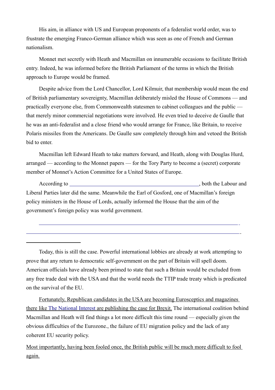His aim, in alliance with US and European proponents of a federalist world order, was to frustrate the emerging Franco-German alliance which was seen as one of French and German nationalism.

Monnet met secretly with Heath and Macmillan on innumerable occasions to facilitate British entry. Indeed, he was informed before the British Parliament of the terms in which the British approach to Europe would be framed.

Despite advice from the Lord Chancellor, Lord Kilmuir, that membership would mean the end of British parliamentary sovereignty, Macmillan deliberately misled the House of Commons — and practically everyone else, from Commonwealth statesmen to cabinet colleagues and the public that merely minor commercial negotiations were involved. He even tried to deceive de Gaulle that he was an anti-federalist and a close friend who would arrange for France, like Britain, to receive Polaris missiles from the Americans. De Gaulle saw completely through him and vetoed the British bid to enter.

Macmillan left Edward Heath to take matters forward, and Heath, along with Douglas Hurd, arranged — according to the Monnet papers — for the Tory Party to become a (secret) corporate member of Monnet's Action Committee for a United States of Europe.

According to **Monder and biographers**, both the Labour and biographer,  $\frac{1}{2}$ Liberal Parties later did the same. Meanwhile the Earl of Gosford, one of Macmillan's foreign policy ministers in the House of Lords, actually informed the House that the aim of the government's foreign policy was world government.

 *[Monnet's Action Committee](http://www.telegraph.co.uk/news/worldnews/europe/1356047/Euro-federalists-financed-by-US-spy-chiefs.html) was also given financial backing by the [CIA and the US State](http://www2.warwick.ac.uk/fac/soc/pais/people/aldrich/publications/oss_cia_united_europe_eec_eu.pdf)*

 *[Department .](http://www2.warwick.ac.uk/fac/soc/pais/people/aldrich/publications/oss_cia_united_europe_eec_eu.pdf) The Anglo-American establishment was now committed to the creation of a federal*

*United States of Europe.*

Today, this is still the case. Powerful international lobbies are already at work attempting to prove that any return to democratic self-government on the part of Britain will spell doom. American officials have already been primed to state that such a Britain would be excluded from any free trade deal with the USA and that the world needs the TTIP trade treaty which is predicated on the survival of the EU.

Fortunately, Republican candidates in the USA are becoming Eurosceptics and magazines there like [The National Interest](http://nationalinterest.org/) are publishing the case for Brexit. The international coalition behind Macmillan and Heath will find things a lot more difficult this time round — especially given the obvious difficulties of the Eurozone., the failure of EU migration policy and the lack of any coherent EU security policy.

Most importantly, having been fooled once, the British public will be much more difficult to fool again.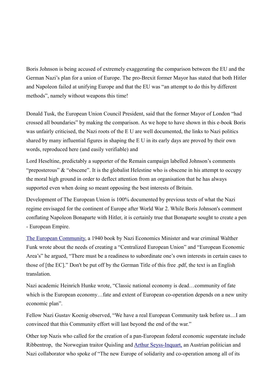Boris Johnson is being accused of extremely exaggerating the comparison between the EU and the German Nazi's plan for a union of Europe. The pro-Brexit former Mayor has stated that both Hitler and Napoleon failed at unifying Europe and that the EU was "an attempt to do this by different methods", namely without weapons this time!

Donald Tusk, the European Union Council President, said that the former Mayor of London "had crossed all boundaries" by making the comparison. As we hope to have shown in this e-book Boris was unfairly criticised, the Nazi roots of the E U are well documented, the links to Nazi politics shared by many influential figures in shaping the E U in its early days are proved by their own words, reproduced here (and easily verifiable) and

Lord Heseltine, predictably a supporter of the Remain campaign labelled Johnson's comments "preposterous"  $\&$  "obscene". It is the globalist Helestine who is obscene in his attempt to occupy the moral high ground in order to deflect attention from an organisation that he has always supported even when doing so meant opposing the best interests of Britain.

Development of The European Union is 100% documented by previous texts of what the Nazi regime envisaged for the continent of Europe after World War 2. While Boris Johnson's comment conflating Napoleon Bonaparte with Hitler, it is certainly true that Bonaparte sought to create a pen - European Empire.

[The European Community,](http://homepage.ntlworld.com/lee.riley/Notices/EWG.pdf) a 1940 book by Nazi Economics Minister and war criminal Walther Funk wrote about the needs of creating a "Centralized European Union" and "European Economic Area's" he argued, "There must be a readiness to subordinate one's own interests in certain cases to those of [the EC]." Don't be put off by the German Title of this free .pdf, the text is an English translation.

Nazi academic Heinrich Hunke wrote, "Classic national economy is dead…community of fate which is the European economy…fate and extent of European co-operation depends on a new unity economic plan".

Fellow Nazi Gustav Koenig observed, "We have a real European Community task before us…I am convinced that this Community effort will last beyond the end of the war."

Other top Nazis who called for the creation of a pan-European federal economic superstate include Ribbentrop, the Norwegian traitor Quisling and [Arthur Seyss-Inquart,](https://en.wikipedia.org/wiki/Arthur_Seyss-Inquart) an Austrian politician and Nazi collaborator who spoke of "The new Europe of solidarity and co-operation among all of its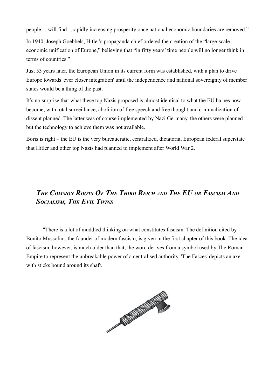people… will find…rapidly increasing prosperity once national economic boundaries are removed."

In 1940, Joseph Goebbels, Hitler's propaganda chief ordered the creation of the "large-scale economic unification of Europe," believing that "in fifty years' time people will no longer think in terms of countries."

Just 53 years later, the European Union in its current form was established, with a plan to drive Europe towards 'ever closer integration' until the independence and national sovereignty of member states would be a thing of the past.

It's no surprise that what these top Nazis proposed is almost identical to what the EU ha bes now become, with total surveillance, abolition of free speech and free thought and criminalization of dissent planned. The latter was of course implemented by Nazi Germany, the others were planned but the technology to achieve them was not available.

Boris is right – the EU is the very bureaucratic, centralized, dictatorial European federal superstate that Hitler and other top Nazis had planned to implement after World War 2.

#### *THE COMMON ROOTS OF THE THIRD REICH AND THE EU OR FASCISM AND SOCIALISM, THE EVIL TWINS*

"There is a lot of muddled thinking on what constitutes fascism. The definition cited by Bonito Mussolini, the founder of modern fascism, is given in the first chapter of this book. The idea of fascism, however, is much older than that, the word derives from a symbol used by The Roman Empire to represent the unbreakable power of a centralised authority. 'The Fasces' depicts an axe with sticks bound around its shaft.

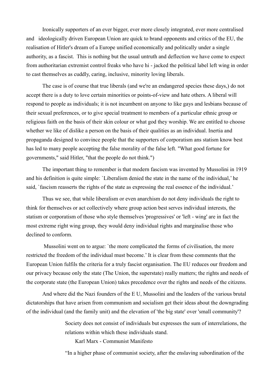Ironically supporters of an ever bigger, ever more closely integrated, ever more centralised and ideologically driven European Union are quick to brand opponents and critics of the EU, the realisation of Hitler's dream of a Europe unified economically and politically under a single authority, as a fascist. This is nothing but the usual untruth and deflection we have come to expect from authoritarian extremist control freaks who have hi - jacked the political label left wing in order to cast themselves as cuddly, caring, inclusive, minority loving liberals.

The case is of course that true liberals (and we're an endangered species these days,) do not accept there is a duty to love certain minorities or points-of-view and hate others. A liberal will respond to people as individuals; it is not incumbent on anyone to like gays and lesbians because of their sexual preferences, or to give special treatment to members of a particular ethnic group or religious faith on the basis of their skin colour or what god they worship. We are entitled to choose whether we like of dislike a person on the basis of their qualities as an individual. Inertia and propaganda designed to convince people that the supporters of corporatism ans statism know best has led to many people accepting the false morality of the false left. "What good fortune for governments," said Hitler, "that the people do not think.")

The important thing to remember is that modern fascism was invented by Mussolini in 1919 and his definition is quite simple: `Liberalism denied the state in the name of the individual,' he said, `fascism reasserts the rights of the state as expressing the real essence of the individual.'

Thus we see, that while liberalism or even anarchism do not deny individuals the right to think for themselves or act collectively where group action best serves individual interests, the statism or corporatism of those who style themselves 'progressives' or 'left - wing' are in fact the most extreme right wing group, they would deny individual rights and marginalise those who declined to conform.

Mussolini went on to argue: 'the more complicated the forms of civilisation, the more restricted the freedom of the individual must become.' It is clear from these comments that the European Union fulfils the criteria for a truly fascist organisation. The EU reduces our freedom and our privacy because only the state (The Union, the superstate) really matters; the rights and needs of the corporate state (the European Union) takes precedence over the rights and needs of the citizens.

And where did the Nazi founders of the E U, Mussolini and the leaders of the various brutal dictatorships that have arisen from communism and socialism get their ideas about the downgrading of the individual (and the family unit) and the elevation of 'the big state' over 'small community'?

> Society does not consist of individuals but expresses the sum of interrelations, the relations within which these individuals stand.

Karl Marx - Communist Manifesto

"In a higher phase of communist society, after the enslaving subordination of the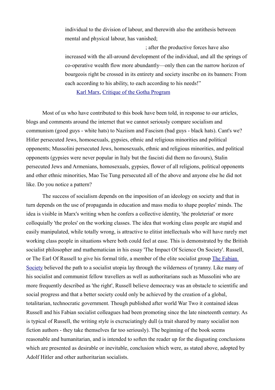individual to the division of labour, and therewith also the antithesis between mental and physical labour, has vanished:

; after the productive forces have also increased with the all-around development of the individual, and all the springs of co-operative wealth flow more abundantly—only then can the narrow horizon of bourgeois right be crossed in its entirety and society inscribe on its banners: From each according to his ability, to each according to his needs!"

[Karl Marx,](http://www.goodreads.com/author/show/7084.Karl_Marx) [Critique of the Gotha Program](http://www.goodreads.com/work/quotes/4024969)

Most of us who have contributed to this book have been told, in response to our articles, blogs and comments around the internet that we cannot seriously compare socialism and communism (good guys - white hats) to Naziism and Fascism (bad guys - black hats). Cant's we? Hitler persecuted Jews, homosexuals, gypsies, ethnic and religious minorities and political opponents; Mussolini persecuted Jews, homosexuals, ethnic and religious minorities, and political opponents (gypsies were never popular in Italy but the fascisti did them no favours), Stalin persecuted Jews and Armenians, homosexuals, gypsies, flower of all religions, political opponents and other ethnic minorities, Mao Tse Tung persecuted all of the above and anyone else he did not like. Do you notice a pattern?

The success of socialism depends on the imposition of an ideology on society and that in turn depends on the use of propaganda in education and mass media to shape peoples' minds. The idea is visible in Marx's writing when he confers a collective identity, 'the proleteriat' or more colloquially 'the proles' on the working classes. The idea that working class people are stupid and easily manipulated, while totally wrong, is attractive to elitist intellectuals who will have rarely met working class people in situations where both could feel at ease. This is demonstrated by the British socialist philosopher and mathematician in his essay 'The Impact Of Science On Society'. Russell, or The Earl Of Russell to give his formal title, a member of the elite socialist group [The Fabian](http://sunray22b.net/fabian_socialism.htm) [Society](http://sunray22b.net/fabian_socialism.htm) believed the path to a socialist utopia lay through the wilderness of tyranny. Like many of his socialist and communist fellow travellers as well as authoritarians such as Mussolini who are more frequently described as 'the right', Russell believe democracy was an obstacle to scientific and social progress and that a better society could only be achieved by the creation of a global, totalitarian, technocratic government. Though published after world War Two it contained ideas Russell and his Fabian socialist colleagues had been promoting since the late nineteenth century. As is typical of Russell, the writing style is excruciatingly dull (a trait shared by many socialist non fiction authors - they take themselves far too seriously). The beginning of the book seems reasonable and humanitarian, and is intended to soften the reader up for the disgusting conclusions which are presented as desirable or inevitable, conclusion which were, as stated above, adopted by Adolf Hitler and other authoritarian socialists.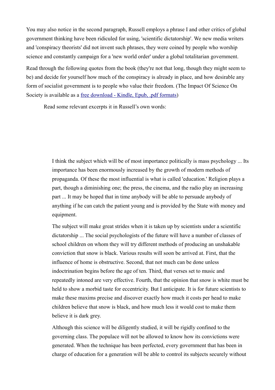You may also notice in the second paragraph, Russell employs a phrase I and other critics of global government thinking have been ridiculed for using, 'scientific dictatorship'. We new media writers and 'conspiracy theorists' did not invent such phrases, they were coined by people who worship science and constantly campaign for a 'new world order' under a global totalitarian government.

Read through the following quotes from the book (they're not that long, though they might seem to be) and decide for yourself how much of the conspiracy is already in place, and how desirable any form of socialist government is to people who value their freedom. (The Impact Of Science On Society is available as a [free download - Kindle, Epub, .pdf formats\)](https://archive.org/details/TheImpactOfScienceOnSociety-B.Russell)

Read some relevant excerpts it in Russell's own words:

I think the subject which will be of most importance politically is mass psychology ... Its importance has been enormously increased by the growth of modern methods of propaganda. Of these the most influential is what is called 'education.' Religion plays a part, though a diminishing one; the press, the cinema, and the radio play an increasing part ... It may be hoped that in time anybody will be able to persuade anybody of anything if he can catch the patient young and is provided by the State with money and equipment.

The subject will make great strides when it is taken up by scientists under a scientific dictatorship ... The social psychologists of the future will have a number of classes of school children on whom they will try different methods of producing an unshakable conviction that snow is black. Various results will soon be arrived at. First, that the influence of home is obstructive. Second, that not much can be done unless indoctrination begins before the age of ten. Third, that verses set to music and repeatedly intoned are very effective. Fourth, that the opinion that snow is white must be held to show a morbid taste for eccentricity. But I anticipate. It is for future scientists to make these maxims precise and discover exactly how much it costs per head to make children believe that snow is black, and how much less it would cost to make them believe it is dark grey.

Although this science will be diligently studied, it will be rigidly confined to the governing class. The populace will not be allowed to know how its convictions were generated. When the technique has been perfected, every government that has been in charge of education for a generation will be able to control its subjects securely without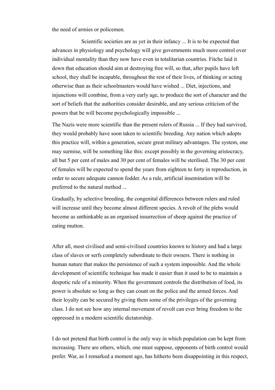the need of armies or policemen.

Scientific societies are as yet in their infancy ... It is to be expected that advances in physiology and psychology will give governments much more control over individual mentality than they now have even in totalitarian countries. Fitche laid it down that education should aim at destroying free will, so that, after pupils have left school, they shall be incapable, throughout the rest of their lives, of thinking or acting otherwise than as their schoolmasters would have wished ... Diet, injections, and injunctions will combine, from a very early age, to produce the sort of character and the sort of beliefs that the authorities consider desirable, and any serious criticism of the powers that be will become psychologically impossible ...

The Nazis were more scientific than the present rulers of Russia ... If they had survived, they would probably have soon taken to scientific breeding. Any nation which adopts this practice will, within a generation, secure great military advantages. The system, one may surmise, will be something like this: except possibly in the governing aristocracy, all but 5 per cent of males and 30 per cent of females will be sterilised. The 30 per cent of females will be expected to spend the years from eighteen to forty in reproduction, in order to secure adequate cannon fodder. As a rule, artificial insemination will be preferred to the natural method ...

Gradually, by selective breeding, the congenital differences between rulers and ruled will increase until they become almost different species. A revolt of the plebs would become as unthinkable as an organised insurrection of sheep against the practice of eating mutton.

After all, most civilised and semi-civilised countries known to history and had a large class of slaves or serfs completely subordinate to their owners. There is nothing in human nature that makes the persistence of such a system impossible. And the whole development of scientific technique has made it easier than it used to be to maintain a despotic rule of a minority. When the government controls the distribution of food, its power is absolute so long as they can count on the police and the armed forces. And their loyalty can be secured by giving them some of the privileges of the governing class. I do not see how any internal movement of revolt can ever bring freedom to the oppressed in a modern scientific dictatorship.

I do not pretend that birth control is the only way in which population can be kept from increasing. There are others, which, one must suppose, opponents of birth control would prefer. War, as I remarked a moment ago, has hitherto been disappointing in this respect,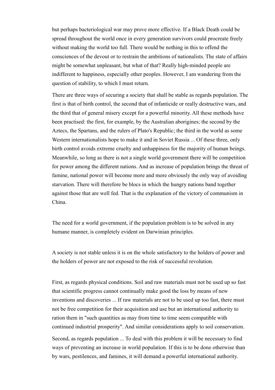but perhaps bacteriological war may prove more effective. If a Black Death could be spread throughout the world once in every generation survivors could procreate freely without making the world too full. There would be nothing in this to offend the consciences of the devout or to restrain the ambitions of nationalists. The state of affairs might be somewhat unpleasant, but what of that? Really high-minded people are indifferent to happiness, especially other peoples. However, I am wandering from the question of stability, to which I must return.

There are three ways of securing a society that shall be stable as regards population. The first is that of birth control, the second that of infanticide or really destructive wars, and the third that of general misery except for a powerful minority. All these methods have been practised: the first, for example, by the Australian aborigines; the second by the Aztecs, the Spartans, and the rulers of Plato's Republic; the third in the world as some Western internationalists hope to make it and in Soviet Russia ... Of these three, only birth control avoids extreme cruelty and unhappiness for the majority of human beings. Meanwhile, so long as there is not a single world government there will be competition for power among the different nations. And as increase of population brings the threat of famine, national power will become more and more obviously the only way of avoiding starvation. There will therefore be blocs in which the hungry nations band together against those that are well fed. That is the explanation of the victory of communism in China.

The need for a world government, if the population problem is to be solved in any humane manner, is completely evident on Darwinian principles.

A society is not stable unless it is on the whole satisfactory to the holders of power and the holders of power are not exposed to the risk of successful revolution.

First, as regards physical conditions. Soil and raw materials must not be used up so fast that scientific progress cannot continually make good the loss by means of new inventions and discoveries ... If raw materials are not to be used up too fast, there must not be free competition for their acquisition and use but an international authority to ration them in "such quantities as may from time to time seem compatible with continued industrial prosperity". And similar considerations apply to soil conservation.

Second, as regards population ... To deal with this problem it will be necessary to find ways of preventing an increase in world population. If this is to be done otherwise than by wars, pestilences, and famines, it will demand a powerful international authority.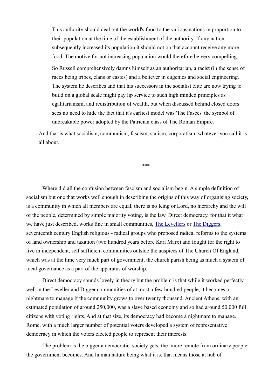This authority should deal out the world's food to the various nations in proportion to their population at the time of the establishment of the authority. If any nation subsequently increased its population it should not on that account receive any more food. The motive for not increasing population would therefore be very compelling.

So Russell comprehensively damns himself as an authoritarian, a racist (in the sense of races being tribes, clans or castes) and a believer in eugenics and social engineering. The system he describes and that his successors in the socialist elite are now trying to build on a global scale might pay lip service to such high minded principles as egalitarianism, and redistribution of wealth, but when discussed behind closed doors sees no need to hide the fact that it's earliest model was 'The Fasces' the symbol of unbreakable power adopted by the Patrician class of The Roman Empire.

And that is what socialism, communism, fascism, statism, corporatism, whatever you call it is all about.

\*\*\*

Where did all the confusion between fascism and socialism begin. A simple definition of socialism but one that works well enough in describing the origins of this way of organising society, is a community in which all members are equal, there is no King or Lord, no hierarchy and the will of the people, determined by simple majority voting, is the law. Direct democracy, for that it what we have just described, works fine in small communities, [The Levellers](http://www.johnfox.org.uk/doku.php/history/levellers) or [The Diggers,](http://bcw-project.org/church-and-state/sects-and-factions/diggers) seventeenth century English religious - radical groups who proposed radical reforms to the systems of land ownership and taxation (two hundred years before Karl Marx) and fought for the right to live in independent, self sufficient communities outside the auspices of The Church Of England, which was at the time very much part of government, the church parish being as much a system of local governance as a part of the apparatus of worship.

Direct democracy sounds lovely in theory but the problem is that while it worked perfectly well in the Leveller and Digger communities of at most a few hundred people, it becomes a nightmare to manage if the community grows to over twenty thousand. Ancient Athens, with an estimated population of around 250,000, was a slave based economy and so had around 50,000 full citizens with voting rights. And at that size, its democracy had become a nightmare to manage. Rome, with a much larger number of potential voters developed a system of representative democracy in which the voters elected people to represent their interests.

The problem is the bigger a democratic society gets, the more remote from ordinary people the government becomes. And human nature being what it is, that means those at hub of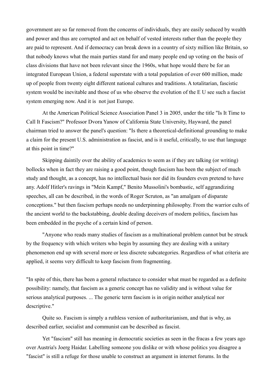government are so far removed from the concerns of individuals, they are easily seduced by wealth and power and thus are corrupted and act on behalf of vested interests rather than the people they are paid to represent. And if democracy can break down in a country of sixty million like Britain, so that nobody knows what the main parties stand for and many people end up voting on the basis of class divisions that have not been relevant since the 1960s, what hope would there be for an integrated European Union, a federal superstate with a total population of over 600 million, made up of people from twenty eight different national cultures and traditions. A totalitarian, fascistic system would be inevitable and those of us who observe the evolution of the E U see such a fascist system emerging now. And it is not just Europe.

At the American Political Science Association Panel 3 in 2005, under the title "Is It Time to Call It Fascism?" Professor Dvora Yanow of California State University, Hayward, the panel chairman tried to answer the panel's question: "Is there a theoretical-definitional grounding to make a claim for the present U.S. administration as fascist, and is it useful, critically, to use that language at this point in time?"

Skipping daintily over the ability of academics to seem as if they are talking (or writing) bollocks when in fact they are raising a good point, though fascism has been the subject of much study and thought, as a concept, has no intellectual basis nor did its founders even pretend to have any. Adolf Hitler's ravings in "Mein Kampf," Benito Mussolini's bombastic, self aggrandizing speeches, all can be described, in the words of Roger Scruton, as "an amalgam of disparate conceptions." but then fascism perhaps needs no underpinning philosophy. From the warrior cults of the ancient world to the backstabbing, double dealing deceivers of modern politics, fascism has been embedded in the psyche of a certain kind of person.

"Anyone who reads many studies of fascism as a multinational problem cannot but be struck by the frequency with which writers who begin by assuming they are dealing with a unitary phenomenon end up with several more or less discrete subcategories. Regardless of what criteria are applied, it seems very difficult to keep fascism from fragmenting.

"In spite of this, there has been a general reluctance to consider what must be regarded as a definite possibility: namely, that fascism as a generic concept has no validity and is without value for serious analytical purposes. ... The generic term fascism is in origin neither analytical nor descriptive."

Quite so. Fascism is simply a ruthless version of authoritarianism, and that is why, as described earlier, socialist and communist can be described as fascist.

Yet "fascism" still has meaning in democratic societies as seen in the fracas a few years ago over Austria's Joerg Haidar. Labelling someone you dislike or with whose politics you disagree a "fascist" is still a refuge for those unable to construct an argument in internet forums. In the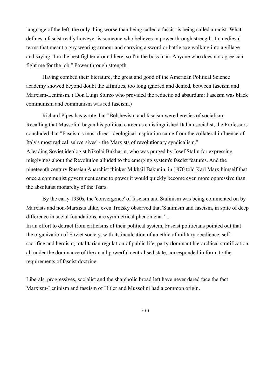language of the left, the only thing worse than being called a fascist is being called a racist. What defines a fascist really however is someone who believes in power through strength. In medieval terms that meant a guy wearing armour and carrying a sword or battle axe walking into a village and saying "I'm the best fighter around here, so I'm the boss man. Anyone who does not agree can fight me for the job." Power through strength.

Having combed their literature, the great and good of the American Political Science academy showed beyond doubt the affinities, too long ignored and denied, between fascism and Marxism-Leninism. ( Don Luigi Sturzo who provided the reductio ad absurdum: Fascism was black communism and communism was red fascism.)

Richard Pipes has wrote that "Bolshevism and fascism were heresies of socialism." Recalling that Mussolini began his political career as a distinguished Italian socialist, the Professors concluded that "Fascism's most direct ideological inspiration came from the collateral influence of Italy's most radical 'subversives' - the Marxists of revolutionary syndicalism." A leading Soviet ideologist Nikolai Bukharin, who was purged by Josef Stalin for expressing misgivings about the Revolution alluded to the emerging system's fascist features. And the nineteenth century Russian Anarchist thinker Mikhail Bakunin, in 1870 told Karl Marx himself that once a communist government came to power it would quickly become even more oppressive than the absolutist monarchy of the Tsars.

By the early 1930s, the 'convergence' of fascism and Stalinism was being commented on by Marxists and non-Marxists alike, even Trotsky observed that 'Stalinism and fascism, in spite of deep difference in social foundations, are symmetrical phenomena. ' ...

In an effort to detract from criticisms of their political system, Fascist politicians pointed out that the organization of Soviet society, with its inculcation of an ethic of military obedience, selfsacrifice and heroism, totalitarian regulation of public life, party-dominant hierarchical stratification all under the dominance of the an all powerful centralised state, corresponded in form, to the requirements of fascist doctrine.

Liberals, progressives, socialist and the shambolic broad left have never dared face the fact Marxism-Leninism and fascism of Hitler and Mussolini had a common origin.

\*\*\*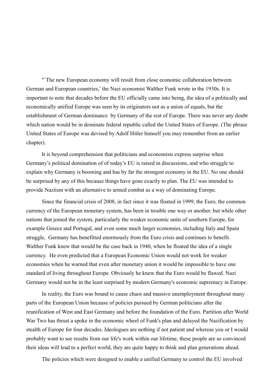"`The new European economy will result from close economic collaboration between German and European countries,' the Nazi economist Walther Funk wrote in the 1930s. It is important to note that decades before the EU officially came into being, the idea of a politically and economically unified Europe was seen by its originators not as a union of equals, but the establishment of German dominance by Germany of the rest of Europe. There was never any doubt which nation would be in dominate federal republic called the United States of Europe. (The phrase United States of Europe was devised by Adolf Hitler himself you may remember from an earlier chapter).

It is beyond comprehension that politicians and economists express surprise when Germany's political domination of of today's EU is raised in discussions, and who struggle to explain why Germany is booming and has by far the strongest economy in the EU. No one should be surprised by any of this because things have gone exactly to plan. The EU was intended to provide Naziism with an alternative to armed combat as a way of dominating Europe.

Since the financial crisis of 2008, in fact since it was floated in 1999, the Euro, the common currency of the European monetary system, has been in trouble one way or another. but while other nations that joined the system, particularly the weaker economic units of southern Europe, for example Greece and Portugal, and even some much larger economies, including Italy and Spain struggle, Germany has benefitted enormously from the Euro crisis and continues to benefit. Walther Funk knew that would be the case back in 1940, when he floated the idea of a single currency. He even predicted that a European Economic Union would not work for weaker economies when he warned that even after monetary union it would be impossible to have one standard of living throughout Europe. Obviously he knew that the Euro would be flawed. Nazi Germany would not be in the least surprised by modern Germany's economic supremacy in Europe.

In reality, the Euro was bound to cause chaos and massive unemployment throughout many parts of the European Union because of policies pursued by German politicians after the reunification of West and East Germany and before the foundation of the Euro. Partition after World War Two has thrust a spoke in the economic wheel of Funk's plan and delayed the Nazification by stealth of Europe for four decades. Ideologues are nothing if not patient and whereas you or I would probably want to see results from our life's work within our lifetime, these people are so convinced their ideas will lead to a perfect world, they are quite happy to think and plan generations ahead.

The policies which were designed to enable a unified Germany to control the EU involved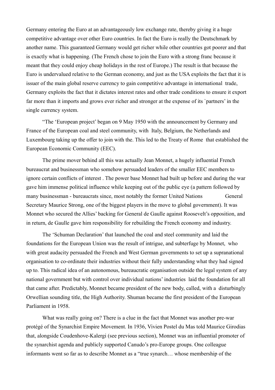Germany entering the Euro at an advantageously low exchange rate, thereby giving it a huge competitive advantage over other Euro countries. In fact the Euro is really the Deutschmark by another name. This guaranteed Germany would get richer while other countries got poorer and that is exactly what is happening. (The French chose to join the Euro with a strong franc because it meant that they could enjoy cheap holidays in the rest of Europe.) The result is that because the Euro is undervalued relative to the German economy, and just as the USA exploits the fact that it is issuer of the main global reserve currency to gain competitive advantage in international trade, Germany exploits the fact that it dictates interest rates and other trade conditions to ensure it export far more than it imports and grows ever richer and stronger at the expense of its `partners' in the single currency system.

"The 'European project' began on 9 May 1950 with the announcement by Germany and France of the European coal and steel community, with Italy, Belgium, the Netherlands and Luxembourg taking up the offer to join with the. This led to the Treaty of Rome that established the European Economic Community (EEC).

The prime mover behind all this was actually Jean Monnet, a hugely influential French bureaucrat and businessman who somehow persuaded leaders of the smaller EEC members to ignore certain conflicts of interest . The power base Monnet had built up before and during the war gave him immense political influence while keeping out of the public eye (a pattern followed by many businessman - bureaucrats since, most notably the former United Nations *General* Secretary Maurice Strong, one of the biggest players in the move to global government). It was Monnet who secured the Allies' backing for General de Gaulle against Roosevelt's opposition, and in return, de Gaulle gave him responsibility for rebuilding the French economy and industry.

The 'Schuman Declaration' that launched the coal and steel community and laid the foundations for the European Union was the result of intrigue, and subterfuge by Monnet, who with great audacity persuaded the French and West German governments to set up a supranational organisation to co-ordinate their industries without their fully understanding what they had signed up to. This radical idea of an autonomous, bureaucratic organisation outside the legal system of any national government but with control over individual nations' industries laid the foundation for all that came after. Predictably, Monnet became president of the new body, called, with a disturbingly Orwellian sounding title, the High Authority. Shuman became the first president of the European Parliament in 1958.

What was really going on? There is a clue in the fact that Monnet was another pre-war protégé of the Synarchist Empire Movement. In 1936, Vivien Postel du Mas told Maurice Girodias that, alongside Coudenhove-Kalergi (see previous section), Monnet was an influential promoter of the synarchist agenda and publicly supported Canudo's pro-Europe groups. One colleague informants went so far as to describe Monnet as a "true synarch… whose membership of the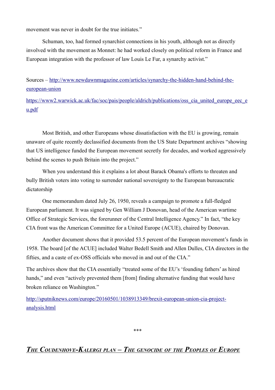movement was never in doubt for the true initiates."

Schuman, too, had formed synarchist connections in his youth, although not as directly involved with the movement as Monnet: he had worked closely on political reform in France and European integration with the professor of law Louis Le Fur, a synarchy activist."

Sources – [http://www.newdawnmagazine.com/articles/synarchy-the-hidden-hand-behind-the](http://www.newdawnmagazine.com/articles/synarchy-the-hidden-hand-behind-the-european-union)[european-union](http://www.newdawnmagazine.com/articles/synarchy-the-hidden-hand-behind-the-european-union)

[https://www2.warwick.ac.uk/fac/soc/pais/people/aldrich/publications/oss\\_cia\\_united\\_europe\\_eec\\_e](https://www2.warwick.ac.uk/fac/soc/pais/people/aldrich/publications/oss_cia_united_europe_eec_eu.pdf) [u.pdf](https://www2.warwick.ac.uk/fac/soc/pais/people/aldrich/publications/oss_cia_united_europe_eec_eu.pdf)

Most British, and other Europeans whose dissatisfaction with the EU is growing, remain unaware of quite recently declassified documents from the US State Department archives "showing that US intelligence funded the European movement secretly for decades, and worked aggressively behind the scenes to push Britain into the project."

When you understand this it explains a lot about Barack Obama's efforts to threaten and bully British voters into voting to surrender national sovereignty to the European bureaucratic dictatorship

One memorandum dated July 26, 1950, reveals a campaign to promote a full-fledged European parliament. It was signed by Gen William J Donovan, head of the American wartime Office of Strategic Services, the forerunner of the Central Intelligence Agency." In fact, "the key CIA front was the American Committee for a United Europe (ACUE), chaired by Donovan.

Another document shows that it provided 53.5 percent of the European movement's funds in 1958. The board [of the ACUE] included Walter Bedell Smith and Allen Dulles, CIA directors in the fifties, and a caste of ex-OSS officials who moved in and out of the CIA."

The archives show that the CIA essentially "treated some of the EU's 'founding fathers' as hired hands," and even "actively prevented them [from] finding alternative funding that would have broken reliance on Washington."

[http://sputniknews.com/europe/20160501/1038913349/brexit-european-union-cia-project](http://sputniknews.com/europe/20160501/1038913349/brexit-european-union-cia-project-analysis.html)[analysis.html](http://sputniknews.com/europe/20160501/1038913349/brexit-european-union-cia-project-analysis.html)

\*\*\*

## *THE C[OUDENHOVE](http://tapnewswire.com/2016/05/the-coudenhove-kalergi-plan-the-genocide-of-the-peoples-of-europe/)-KALERGI PLAN – THE GENOCIDE OF THE PEOPLES OF EUROPE*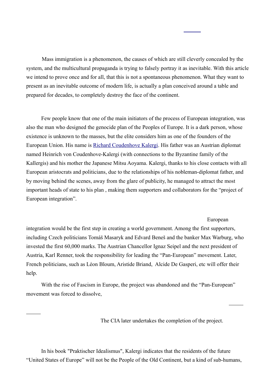Mass immigration is a phenomenon, the causes of which are still cleverly concealed by the system, and the multicultural propaganda is trying to falsely portray it as inevitable. With this article we intend to prove once and for all, that this is not a spontaneous phenomenon. What they want to present as an inevitable outcome of modern life, is actually a plan conceived around a table and prepared for decades, to completely destroy the face of the continent.

*This article is a translation of an Italian article, originally posted on [Identità,](http://xn--identit-fwa.com/blog/2012/12/11/il-piano-kalergi-il-genocidio-dei-popoli-europei/) and republished in*

Few people know that one of the main initiators of the process of European integration, was also the man who designed the genocide plan of the Peoples of Europe. It is a dark person, whose existence is unknown to the masses, but the elite considers him as one of the founders of the European Union. His name is [Richard Coudenhove Kalergi.](http://www.westernspring.co.uk/the-coudenhove-kalergi-plan-the-genocide-of-the-peoples-of-europe/) His father was an Austrian diplomat named Heinrich von Coudenhove-Kalergi (with connections to the Byzantine family of the Kallergis) and his mother the Japanese Mitsu Aoyama. Kalergi, thanks to his close contacts with all European aristocrats and politicians, due to the relationships of his nobleman-diplomat father, and by moving behind the scenes, away from the glare of publicity, he managed to attract the most important heads of state to his plan , making them supporters and collaborators for the "project of European integration".

#### **New World Order, based on a few World Order, based on a few World States.** European

integration would be the first step in creating a world government. Among the first supporters, including Czech politicians Tomáš Masaryk and Edvard Beneš and the banker Max Warburg, who invested the first 60,000 marks. The Austrian Chancellor Ignaz Seipel and the next president of Austria, Karl Renner, took the responsibility for leading the "Pan-European" movement. Later, French politicians, such as Léon Bloum, Aristide Briand, Alcide De Gasperi, etc will offer their help.

With the rise of Fascism in Europe, the project was abandoned and the "Pan-European" movement was forced to dissolve.

**and tireless activity and the support of Winston Churchill, the Jewish Masonic Lodge B'nai B'rith and major newspapers like the New York Times, the plan manages to be accepted by**

The CIA later undertakes the completion of the project.

In his book "Praktischer Idealismus", Kalergi indicates that the residents of the future "United States of Europe" will not be the People of the Old Continent, but a kind of sub-humans,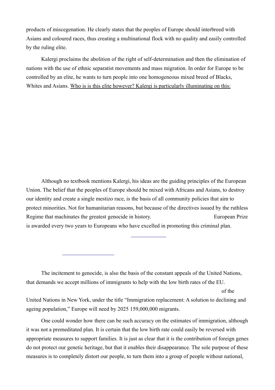products of miscegenation. He clearly states that the peoples of Europe should interbreed with Asians and coloured races, thus creating a multinational flock with no quality and easily controlled by the ruling elite.

Kalergi proclaims the abolition of the right of self-determination and then the elimination of nations with the use of ethnic separatist movements and mass migration. In order for Europe to be controlled by an elite, he wants to turn people into one homogeneous mixed breed of Blacks, Whites and Asians. Who is is this elite however? Kalergi is particularly illuminating on this:

Although no textbook mentions Kalergi, his ideas are the guiding principles of the European Union. The belief that the peoples of Europe should be mixed with Africans and Asians, to destroy our identity and create a single mestizo race, is the basis of all community policies that aim to protect minorities. Not for humanitarian reasons, but because of the directives issued by the ruthless Regime that machinates the greatest genocide in history. **The Couldeman Prize** is awarded every two years to Europeans who have excelled in promoting this criminal plan.

The incitement to genocide, is also the basis of the constant appeals of the United Nations, that demands we accept millions of immigrants to help with the low birth rates of the EU.

**Among those awarded with such a prize are [Angela Merkel](http://theinfounderground.com/smf/index.php?topic=20058.0) who engineered the mass**

**U Commission [Herman Van Rompuy](http://european-society-coudenhove-kalergi.org/Europ_Briefe_Archiv/51.pdf)**

**According to a report published on January 2000 in «Population division» Review** of the

United Nations in New York, under the title "Immigration replacement: A solution to declining and ageing population," Europe will need by 2025 159,000,000 migrants.

One could wonder how there can be such accuracy on the estimates of immigration, although it was not a premeditated plan. It is certain that the low birth rate could easily be reversed with appropriate measures to support families. It is just as clear that it is the contribution of foreign genes do not protect our genetic heritage, but that it enables their disappearance. The sole purpose of these measures is to completely distort our people, to turn them into a group of people without national,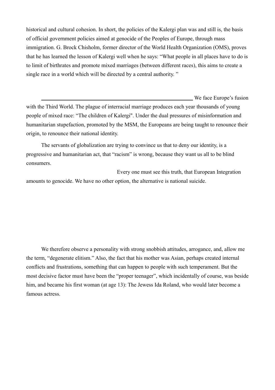historical and cultural cohesion. In short, the policies of the Kalergi plan was and still is, the basis of official government policies aimed at genocide of the Peoples of Europe, through mass immigration. G. Brock Chisholm, former director of the World Health Organization (OMS), proves that he has learned the lesson of Kalergi well when he says: "What people in all places have to do is to limit of birthrates and promote mixed marriages (between different races), this aims to create a single race in a world which will be directed by a central authority. "

**IF We face Europe's fusion** with the Third World. The plague of interracial marriage produces each year thousands of young people of mixed race: "The children of Kalergi". Under the dual pressures of misinformation and humanitarian stupefaction, promoted by the MSM, the Europeans are being taught to renounce their origin, to renounce their national identity.

The servants of globalization are trying to convince us that to deny our identity, is a progressive and humanitarian act, that "racism" is wrong, because they want us all to be blind **IS is necessary, now more than every more than every** than every the System, the System, the System, the System, the System, the System, the System of the System, the System of the System, the System of the System of the

Every one must see this truth, that European Integration amounts to genocide. We have no other option, the alternative is national suicide.

We therefore observe a personality with strong snobbish attitudes, arrogance, and, allow me the term, "degenerate elitism." Also, the fact that his mother was Asian, perhaps created internal conflicts and frustrations, something that can happen to people with such temperament. But the most decisive factor must have been the "proper teenager", which incidentally of course, was beside him, and became his first woman (at age 13): The Jewess Ida Roland, who would later become a famous actress.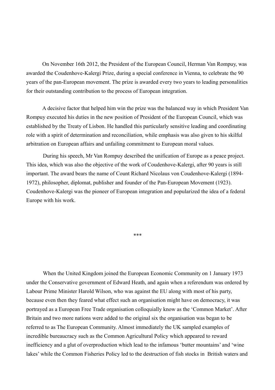On November 16th 2012, the President of the European Council, Herman Van Rompuy, was awarded the Coudenhove-Kalergi Prize, during a special conference in Vienna, to celebrate the 90 years of the pan-European movement. The prize is awarded every two years to leading personalities for their outstanding contribution to the process of European integration.

A decisive factor that helped him win the prize was the balanced way in which President Van Rompuy executed his duties in the new position of President of the European Council, which was established by the Treaty of Lisbon. He handled this particularly sensitive leading and coordinating role with a spirit of determination and reconciliation, while emphasis was also given to his skilful arbitration on European affairs and unfailing commitment to European moral values.

During his speech, Mr Van Rompuy described the unification of Europe as a peace project. This idea, which was also the objective of the work of Coudenhove-Kalergi, after 90 years is still important. The award bears the name of Count Richard Nicolaus von Coudenhove-Kalergi (1894- 1972), philosopher, diplomat, publisher and founder of the Pan-European Movement (1923). Coudenhove-Kalergi was the pioneer of European integration and popularized the idea of a federal Europe with his work.

\*\*\*

When the United Kingdom joined the European Economic Community on 1 January 1973 under the Conservative government of Edward Heath, and again when a referendum was ordered by Labour Prime Minister Harold Wilson, who was against the EU along with most of his party, because even then they feared what effect such an organisation might have on democracy, it was portrayed as a European Free Trade organisation colloquially know as the 'Common Market'. After Britain and two more nations were added to the original six the organisation was began to be referred to as The European Community. Almost immediately the UK sampled examples of incredible bureaucracy such as the Common Agricultural Policy which appeared to reward inefficiency and a glut of overproduction which lead to the infamous 'butter mountains' and 'wine lakes' while the Common Fisheries Policy led to the destruction of fish stocks in British waters and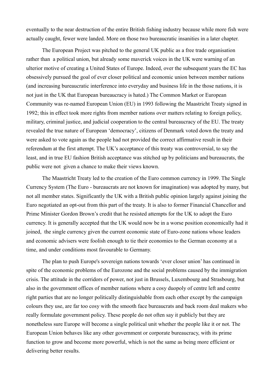eventually to the near destruction of the entire British fishing industry because while more fish were actually caught, fewer were landed. More on those two bureaucratic insanities in a later chapter.

The European Project was pitched to the general UK public as a free trade organisation rather than a political union, but already some maverick voices in the UK were warning of an ulterior motive of creating a United States of Europe. Indeed, over the subsequent years the EC has obsessively pursued the goal of ever closer political and economic union between member nations (and increasing bureaucratic interference into everyday and business life in the those nations, it is not just in the UK that European bureaucracy is hated.) The Common Market or European Community was re-named European Union (EU) in 1993 following the Maastricht Treaty signed in 1992; this in effect took more rights from member nations over matters relating to foreign policy, military, criminal justice, and judicial cooperation to the central bureaucracy of the EU. The treaty revealed the true nature of European 'democracy', citizens of Denmark voted down the treaty and were asked to vote again as the people had not provided the correct affirmative result in their referendum at the first attempt. The UK's acceptance of this treaty was controversial, to say the least, and in true EU fashion British acceptance was stitched up by politicians and bureaucrats, the public were not given a chance to make their views known.

The Maastricht Treaty led to the creation of the Euro common currency in 1999. The Single Currency System (The Euro - bureaucrats are not known for imagination) was adopted by many, but not all member states. Significantly the UK with a British public opinion largely against joining the Euro negotiated an opt-out from this part of the treaty. It is also to former Financial Chancellor and Prime Minister Gordon Brown's credit that he resisted attempts for the UK to adopt the Euro currency. It is generally accepted that the UK would now be in a worse position economically had it joined, the single currency given the current economic state of Euro-zone nations whose leaders and economic advisers were foolish enough to tie their economies to the German economy at a time, and under conditions most favourable to Germany.

The plan to push Europe's sovereign nations towards 'ever closer union' has continued in spite of the economic problems of the Eurozone and the social problems caused by the immigration crisis. The attitude in the corridors of power, not just in Brussels, Luxembourg and Strasbourg, but also in the government offices of member nations where a cosy duopoly of centre left and centre right parties that are no longer politically distinguishable from each other except by the campaign colours they use, are far too cosy with the smooth face bureaucrats and back room deal makers who really formulate government policy. These people do not often say it publicly but they are nonetheless sure Europe will become a single political unit whether the people like it or not. The European Union behaves like any other government or corporate bureaucracy, with its prime function to grow and become more powerful, which is not the same as being more efficient or delivering better results.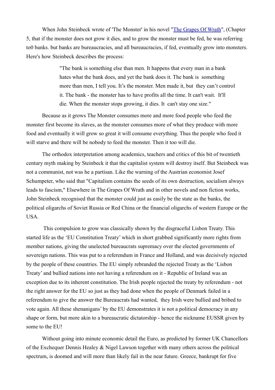When John Steinbeck wrote of 'The Monster' in his novel ["The Grapes Of Wrath"](http://www.steinbeck.org/pages/the-grapes-of-wrath-book-synopsis), (Chapter 5, that if the monster does not grow it dies, and to grow the monster must be fed, he was referring to0 banks. but banks are bureaucracies, and all bureaucracies, if fed, eventually grow into monsters. Here's how Steinbeck describes the process:

> "The bank is something else than men. It happens that every man in a bank hates what the bank does, and yet the bank does it. The bank is something more than men, I tell you. It's the monster. Men made it, but they can't control it. The bank - the monster has to have profits all the time. It can't wait. It'll die. When the monster stops growing, it dies. It can't stay one size."

Because as it grows The Monster consumes more and more food people who feed the monster first become its slaves, as the monster consumes more of what they produce with more food and eventually it will grow so great it will consume everything. Thus the people who feed it will starve and there will be nobody to feed the monster. Then it too will die.

The orthodox interpretation among academics, teachers and critics of this bit of twentieth century myth making by Steinbeck it that the capitalist system will destroy itself. But Steinbeck was not a communist, not was he a partisan. Like the warning of the Austrian economist Josef Schumpeter, who said that "Capitalism contains the seeds of its own destruction, socialism always leads to fascism," Elsewhere in The Grapes Of Wrath and in other novels and non fiction works, John Steinbeck recognised that the monster could just as easily be the state as the banks, the political oligarchs of Soviet Russia or Red China or the financial oligarchs of western Europe or the **USA** 

 This compulsion to grow was classically shown by the disgraceful Lisbon Treaty. This started life as the 'EU Constitution Treaty' which in short grabbed significantly more rights from member nations, giving the unelected bureaucrats supremacy over the elected governments of sovereign nations. This was put to a referendum in France and Holland, and was decisively rejected by the people of these countries. The EU simply rebranded the rejected Treaty as the 'Lisbon Treaty' and bullied nations into not having a referendum on it - Republic of Ireland was an exception due to its inherent constitution. The Irish people rejected the treaty by referendum - not the right answer for the EU so just as they had done when the people of Denmark failed in a referendum to give the answer the Bureaucrats had wanted, they Irish were bullied and bribed to vote again. All these shenanigans' by the EU demonstrates it is not a political democracy in any shape or form, but more akin to a bureaucratic dictatorship - hence the nickname EUSSR given by some to the EU!

Without going into minute economic detail the Euro, as predicted by former UK Chancellors of the Exchequer Dennis Healey & Nigel Lawson together with many others across the political spectrum, is doomed and will more than likely fail in the near future. Greece, bankrupt for five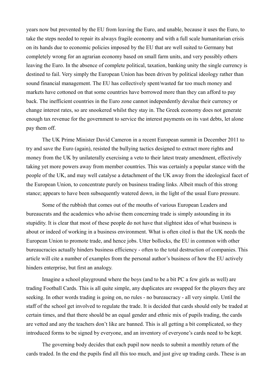years now but prevented by the EU from leaving the Euro, and unable, because it uses the Euro, to take the steps needed to repair its always fragile economy and with a full scale humanitarian crisis on its hands due to economic policies imposed by the EU that are well suited to Germany but completely wrong for an agrarian economy based on small farm units, and very possibly others leaving the Euro. In the absence of complete political, taxation, banking unity the single currency is destined to fail. Very simply the European Union has been driven by political ideology rather than sound financial management. The EU has collectively spent/wasted far too much money and markets have cottoned on that some countries have borrowed more than they can afford to pay back. The inefficient countries in the Euro zone cannot independently devalue their currency or change interest rates, so are snookered whilst they stay in. The Greek economy does not generate enough tax revenue for the government to service the interest payments on its vast debts, let alone pay them off.

The UK Prime Minister David Cameron in a recent European summit in December 2011 to try and save the Euro (again), resisted the bullying tactics designed to extract more rights and money from the UK by unilaterally exercising a veto to their latest treaty amendment, effectively taking yet more powers away from member countries. This was certainly a popular stance with the people of the UK, and may well catalyse a detachment of the UK away from the ideological facet of the European Union, to concentrate purely on business trading links. Albeit much of this strong stance; appears to have been subsequently watered down, in the light of the usual Euro pressure.

Some of the rubbish that comes out of the mouths of various European Leaders and bureaucrats and the academics who advise them concerning trade is simply astounding in its stupidity. It is clear that most of these people do not have that slightest idea of what business is about or indeed of working in a business environment. What is often cited is that the UK needs the European Union to promote trade, and hence jobs. Utter bollocks, the EU in common with other bureaucracies actually hinders business efficiency - often to the total destruction of companies. This article will cite a number of examples from the personal author's business of how the EU actively hinders enterprise, but first an analogy.

Imagine a school playground where the boys (and to be a bit PC a few girls as well) are trading Football Cards. This is all quite simple, any duplicates are swapped for the players they are seeking. In other words trading is going on, no rules - no bureaucracy - all very simple. Until the staff of the school get involved to regulate the trade. It is decided that cards should only be traded at certain times, and that there should be an equal gender and ethnic mix of pupils trading, the cards are vetted and any the teachers don't like are banned. This is all getting a bit complicated, so they introduced forms to be signed by everyone, and an inventory of everyone's cards need to be kept.

The governing body decides that each pupil now needs to submit a monthly return of the cards traded. In the end the pupils find all this too much, and just give up trading cards. These is an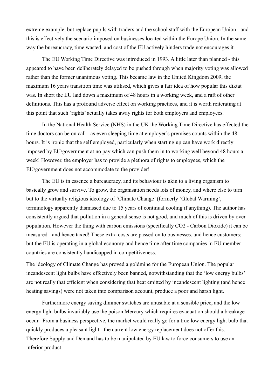extreme example, but replace pupils with traders and the school staff with the European Union - and this is effectively the scenario imposed on businesses located within the Europe Union. In the same way the bureaucracy, time wasted, and cost of the EU actively hinders trade not encourages it.

The EU Working Time Directive was introduced in 1993. A little later than planned - this appeared to have been deliberately delayed to be pushed through when majority voting was allowed rather than the former unanimous voting. This became law in the United Kingdom 2009, the maximum 16 years transition time was utilised, which gives a fair idea of how popular this diktat was. In short the EU laid down a maximum of 48 hours in a working week, and a raft of other definitions. This has a profound adverse effect on working practices, and it is worth reiterating at this point that such 'rights' actually takes away rights for both employers and employees.

In the National Health Service (NHS) in the UK the Working Time Directive has effected the time doctors can be on call - as even sleeping time at employer's premises counts within the 48 hours. It is ironic that the self employed, particularly when starting up can have work directly imposed by EU/government at no pay which can push them in to working well beyond 48 hours a week! However, the employer has to provide a plethora of rights to employees, which the EU/government does not accommodate to the provider!

The EU is in essence a bureaucracy, and its behaviour is akin to a living organism to basically grow and survive. To grow, the organisation needs lots of money, and where else to turn but to the virtually religious ideology of 'Climate Change' (formerly 'Global Warming', terminology apparently dismissed due to 15 years of continual cooling if anything). The author has consistently argued that pollution in a general sense is not good, and much of this is driven by over population. However the thing with carbon emissions (specifically CO2 - Carbon Dioxide) it can be measured - and hence taxed! These extra costs are passed on to businesses, and hence customers; but the EU is operating in a global economy and hence time after time companies in EU member countries are consistently handicapped in competitiveness.

The ideology of Climate Change has proved a goldmine for the European Union. The popular incandescent light bulbs have effectively been banned, notwithstanding that the 'low energy bulbs' are not really that efficient when considering that heat emitted by incandescent lighting (and hence heating savings) were not taken into comparison account, produce a poor and harsh light.

Furthermore energy saving dimmer switches are unusable at a sensible price, and the low energy light bulbs invariably use the poison Mercury which requires evacuation should a breakage occur. From a business perspective, the market would really go for a true low energy light bulb that quickly produces a pleasant light - the current low energy replacement does not offer this. Therefore Supply and Demand has to be manipulated by EU law to force consumers to use an inferior product.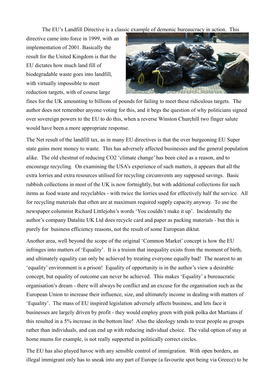The EU's Landfill Directive is a class[ic example of demonic bureaucracy in action. This](http://www.dluk.info/rubbish-fortnightly-bin-collection-eu-landfill.jpg)

directive came into force in 1999, with an implementation of 2001. Basically the result for the United Kingdom is that the EU dictates how much land fill of biodegradable waste goes into landfill, with virtually impossible to meet reduction targets, with of course large



fines for the UK amounting to billions of pounds for failing to meet these ridiculous targets. The author does not remember anyone voting for this, and it begs the question of why politicians signed over sovereign powers to the EU to do this, when a reverse Winston Churchill two finger salute would have been a more appropriate response.

The Net result of the landfill tax, as in many EU directives is that the over burgeoning EU Super state gains more money to waste. This has adversely affected businesses and the general population alike. The old chestnut of reducing CO2 'climate change' has been cited as a reason, and to encourage recycling. On examining the USA's experience of such matters, it appears that all the extra lorries and extra resources utilised for recycling circumvents any supposed savings. Basic rubbish collections in most of the UK is now fortnightly, but with additional collections for such items as food waste and recyclables - with twice the lorries used for effectively half the service. All for recycling materials that often are at maximum required supply capacity anyway. To use the newspaper columnist Richard Littlejohn's words 'You couldn't make it up'. Incidentally the author's company Datalite UK Ltd does recycle card and paper as packing materials - but this is purely for business efficiency reasons, not the result of some European diktat.

Another area, well beyond the scope of the original 'Common Market' concept is how the EU infringes into matters of 'Equality'. It is a truism that inequality exists from the moment of birth, and ultimately equality can only be achieved by treating everyone equally bad! The nearest to an 'equality' environment is a prison! Equality of opportunity is in the author's view a desirable concept, but equality of outcome can never be achieved. This makes 'Equality' a bureaucratic organisation's dream - there will always be conflict and an excuse for the organisation such as the European Union to increase their influence, size, and ultimately income in dealing with matters of 'Equality'. The mass of EU inspired legislation adversely affects business, and lets face it businesses are largely driven by profit - they would employ green with pink polka dot Martians if this resulted in a 5% increase in the bottom line! Also the ideology tends to treat people as groups rather than individuals, and can end up with reducing individual choice. The valid option of stay at home mums for example, is not really supported in politically correct circles.

The EU has also played havoc with any sensible control of immigration. With open borders, an illegal immigrant only has to sneak into any part of Europe (a favourite spot being via Greece) to be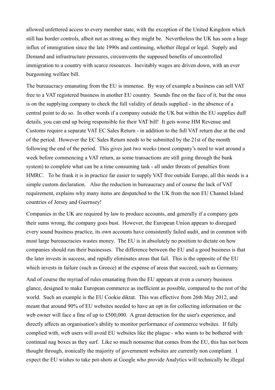allowed unfettered access to every member state, with the exception of the United Kingdom which still has border controls, albeit not as strong as they might be. Nevertheless the UK has seen a huge influx of immigration since the late 1990s and continuing, whether illegal or legal. Supply and Demand and infrastructure pressures, circumvents the supposed benefits of uncontrolled immigration to a country with scarce resources. Inevitably wages are driven down, with an ever burgeoning welfare bill.

The bureaucracy emanating from the EU is immense. By way of example a business can sell VAT free to a VAT registered business in another EU country. Sounds fine on the face of it, but the onus is on the supplying company to check the full validity of details supplied - in the absence of a central point to do so. In other words if a company outside the UK but within the EU supplies duff details, you can end up being responsible for their VAT bill! It gets worse HM Revenue and Customs require a separate VAT EC Sales Return - in addition to the full VAT return due at the end of the period. However the EC Sales Return needs to be submitted by the 21st of the month following the end of the period. This gives just two weeks (most company's need to wait around a week before commencing a VAT return, as some transactions are still going through the bank system) to complete what can be a time consuming task - all under threats of penalties from HMRC. To be frank it is in practice far easier to supply VAT free outside Europe, all this needs is a simple custom declaration. Also the reduction in bureaucracy and of course the lack of VAT requirement, explains why many items are despatched to the UK from the non EU Channel Island countries of Jersey and Guernsey!

Companies in the UK are required by law to produce accounts, and generally if a company gets their sums wrong, the company goes bust. However, the European Union appears to disregard every sound business practice, its own accounts have consistently failed audit, and in common with most large bureaucracies wastes money. The EU is in absolutely no position to dictate on how companies should run their businesses. The difference between the EU and a good business is that the later invests in success, and rapidly eliminates areas that fail. This is the opposite of the EU which invests in failure (such as Greece) at the expense of areas that succeed, such as Germany.

And of course the myriad of rules emanating from the EU appears at even a cursory business glance, designed to make European commerce as inefficient as possible, compared to the rest of the world. Such an example is the EU Cookie diktat. This was effective from 26th May 2012, and meant that around 90% of EU websites needed to have an opt in for collecting information or the web owner will face a fine of up to £500,000. A great detraction for the user's experience, and directly affects an organisation's ability to monitor performance of commerce websites. If fully complied with, web users will avoid EU websites like the plague - who wants to be bothered with continual nag boxes as they surf. Like so much nonsense that comes from the EU, this has not been thought through, ironically the majority of government websites are currently non compliant. I expect the EU wishes to take pot-shots at Google who provide Analytics will technically be illegal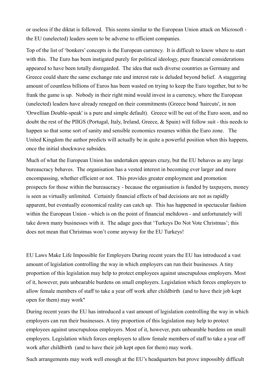or useless if the diktat is followed. This seems similar to the European Union attack on Microsoft the EU (unelected) leaders seem to be adverse to efficient companies.

Top of the list of 'bonkers' concepts is the European currency. It is difficult to know where to start with this. The Euro has been instigated purely for political ideology, pure financial considerations appeared to have been totally disregarded. The idea that such diverse countries as Germany and Greece could share the same exchange rate and interest rate is deluded beyond belief. A staggering amount of countless billions of Euros has been wasted on trying to keep the Euro together, but to be frank the game is up. Nobody in their right mind would invest in a currency, where the European (unelected) leaders have already reneged on their commitments (Greece bond 'haircuts', in non 'Orwellian Double-speak' is a pure and simple default). Greece will be out of the Euro soon, and no doubt the rest of the PIIGS (Portugal, Italy, Ireland, Greece, & Spain) will follow suit - this needs to happen so that some sort of sanity and sensible economics resumes within the Euro zone. The United Kingdom the author predicts will actually be in quite a powerful position when this happens, once the initial shockwave subsides.

Much of what the European Union has undertaken appears crazy, but the EU behaves as any large bureaucracy behaves. The organisation has a vested interest in becoming ever larger and more encompassing, whether efficient or not. This provides greater employment and promotion prospects for those within the bureaucracy - because the organisation is funded by taxpayers, money is seen as virtually unlimited. Certainly financial effects of bad decisions are not as rapidly apparent, but eventually economical reality can catch up. This has happened in spectacular fashion within the European Union - which is on the point of financial meltdown - and unfortunately will take down many businesses with it. The adage goes that 'Turkeys Do Not Vote Christmas'; this does not mean that Christmas won't come anyway for the EU Turkeys!

EU Laws Make Life Impossible for Employers During recent years the EU has introduced a vast amount of legislation controlling the way in which employers can run their businesses. A tiny proportion of this legislation may help to protect employees against unscrupulous employers. Most of it, however, puts unbearable burdens on small employers. Legislation which forces employers to allow female members of staff to take a year off work after childbirth (and to have their job kept open for them) may work"

During recent years the EU has introduced a vast amount of legislation controlling the way in which employers can run their businesses. A tiny proportion of this legislation may help to protect employees against unscrupulous employers. Most of it, however, puts unbearable burdens on small employers. Legislation which forces employers to allow female members of staff to take a year off work after childbirth (and to have their job kept open for them) may work.

Such arrangements may work well enough at the EU's headquarters but prove impossibly difficult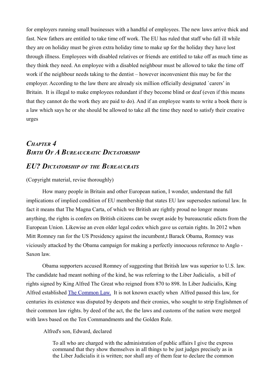for employers running small businesses with a handful of employees. The new laws arrive thick and fast. New fathers are entitled to take time off work. The EU has ruled that staff who fall ill while they are on holiday must be given extra holiday time to make up for the holiday they have lost through illness. Employees with disabled relatives or friends are entitled to take off as much time as they think they need. An employee with a disabled neighbour must be allowed to take the time off work if the neighbour needs taking to the dentist – however inconvenient this may be for the employer. According to the law there are already six million officially designated `carers' in Britain. It is illegal to make employees redundant if they become blind or deaf (even if this means that they cannot do the work they are paid to do). And if an employee wants to write a book there is a law which says he or she should be allowed to take all the time they need to satisfy their creative urges

# *CHAPTER 4 BIRTH OF A BUREAUCRATIC DICTATORSHIP*

## *EU? DICTATORSHIP OF THE BUREAUCRATS*

(Copyright material, revise thoroughly)

How many people in Britain and other European nation, I wonder, understand the full implications of implied condition of EU membership that states EU law supersedes national law. In fact it means that The Magna Carta, of which we British are rightly proud no longer means anything, the rights is confers on British citizens can be swept aside by bureaucratic edicts from the European Union. Likewise an even older legal codex which gave us certain rights. In 2012 when Mitt Romney ran for the US Presidency against the incumbent,t Barack Obama, Romney was viciously attacked by the Obama campaign for making a perfectly innocuous reference to Anglo - Saxon law.

Obama supporters accused Romney of suggesting that British law was superior to U.S. law. The candidate had meant nothing of the kind, he was referring to the Liber Judicialis, a bill of rights signed by King Alfred The Great who reigned from 870 to 898. In Liber Judicialis, King Alfred established [The Common Law.](http://www.britishconstitutiongroup.com/british-constitution/common-law) It is not known exactly when Alfred passed this law, for centuries its existence was disputed by despots and their cronies, who sought to strip Englishmen of their common law rights. by deed of the act, the the laws and customs of the nation were merged with laws based on the Ten Commandments and the Golden Rule.

### Alfred's son, Edward, declared

To all who are charged with the administration of public affairs I give the express command that they show themselves in all things to be just judges precisely as in the Liber Judicialis it is written; nor shall any of them fear to declare the common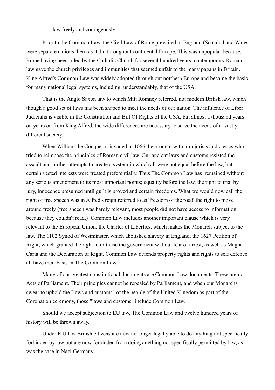law freely and courageously.

Prior to the Common Law, the Civil Law of Rome prevailed in England (Scotalnd and Wales were separate nations then) as it did throughout continental Europe. This was unpopular because, Rome having been ruled by the Catholic Church for several hundred years, contemporary Roman law gave the church privileges and immunities that seemed unfair to the many pagans in Britain. King Alfred's Common Law was widely adopted through out northern Europe and became the basis for many national legal systems, including, understandably, that of the USA.

That is the Anglo Saxon law to which Mitt Romney referred, not modern British law, which though a good set of laws has been shaped to meet the needs of our nation. The influence of Liber Judicialis is visible in the Constitution and Bill Of Rights of the USA, but almost a thousand years on years on from King Alfred, the wide differences are necessary to serve the needs of a vastly different society.

When William the Conqueror invaded in 1066, he brought with him jurists and clerics who tried to reimpose the principles of Roman civil law. Our ancient laws and customs resisted the assault and further attempts to create a system in which all were not equal before the law, but certain vested interests were treated preferentially. Thus The Common Law has remained without any serious amendment to its most important points; equality before the law, the right to trial by jury, innocence presumed until guilt is proved and certain freedoms. What we would now call the right of free speech was in Alfred's reign referred to as 'freedom of the road' the right to move around freely (free speech was hardly relevant, most people did not have access to information because they couldn't read.) Common Law includes another important clause which is very relevant to the European Union, the Charter of Liberties, which makes the Monarch subject to the law. The 1102 Synod of Westminster, which abolished slavery in England, the 1627 Petition of Right, which granted the right to criticise the government without fear of arrest, as well as Magna Carta and the Declaration of Right. Common Law defends property rights and rights to self defence all have their basis in The Common Law.

Many of our greatest constitutional documents are Common Law documents. These are not Acts of Parliament. Their principles cannot be repealed by Parliament, and when our Monarchs swear to uphold the "laws and customs" of the people of the United Kingdom as part of the Coronation ceremony, those "laws and customs" include Common Law.

Should we accept subjection to EU law, The Common Law and twelve hundred years of history will be thrown away.

Under E U law British citizens are now no longer legally able to do anything not specifically forbidden by law but are now forbidden from doing anything not specifically permitted by law, as was the case in Nazi Germany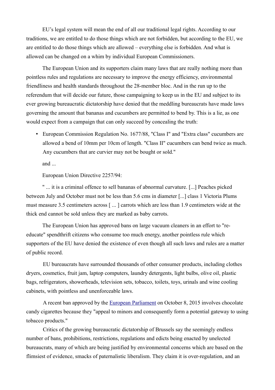EU's legal system will mean the end of all our traditional legal rights. According to our traditions, we are entitled to do those things which are not forbidden, but according to the EU, we are entitled to do those things which are allowed – everything else is forbidden. And what is allowed can be changed on a whim by individual European Commissioners.

The European Union and its supporters claim many laws that are really nothing more than pointless rules and regulations are necessary to improve the energy efficiency, environmental friendliness and health standards throughout the 28-member bloc. And in the run up to the referendum that will decide our future, those campaigning to keep us in the EU and subject to its ever growing bureaucratic dictatorship have denied that the meddling bureaucrats have made laws governing the amount that bananas and cucumbers are permitted to bend by. This is a lie, as one would expect from a campaign that can only succeed by concealing the truth:

• European Commission Regulation No. 1677/88, "Class I" and "Extra class" cucumbers are allowed a bend of 10mm per 10cm of length. "Class II" cucumbers can bend twice as much. Any cucumbers that are curvier may not be bought or sold."

and ...

European Union Directive 2257/94:

" ... it is a criminal offence to sell bananas of abnormal curvature. [...] Peaches picked between July and October must not be less than 5.6 cms in diameter [...] class 1 Victoria Plums must measure 3.5 centimeters across [ ... ] carrots which are less than 1.9 centimeters wide at the thick end cannot be sold unless they are marked as baby carrots.

The European Union has approved bans on large vacuum cleaners in an effort to "reeducate" spendthrift citizens who consume too much energy, another pointless rule which supporters of the EU have denied the existence of even though all such laws and rules are a matter of public record.

EU bureaucrats have surrounded thousands of other consumer products, including clothes dryers, cosmetics, fruit jam, laptop computers, laundry detergents, light bulbs, olive oil, plastic bags, refrigerators, showerheads, television sets, tobacco, toilets, toys, urinals and wine cooling cabinets, with pointless and unenforceable laws.

A recent ban approved by the [European Parliament](http://www.europarl.europa.eu/sides/getDoc.do?pubRef=-//EP//TEXT+TA+20131008+ITEMS+DOC+XML+V0//EN) on October 8, 2015 involves chocolate candy cigarettes because they "appeal to minors and consequently form a potential gateway to using tobacco products."

Critics of the growing bureaucratic dictatorship of Brussels say the seemingly endless number of bans, prohibitions, restrictions, regulations and edicts being enacted by unelected bureaucrats, many of which are being justified by environmental concerns which are based on the flimsiest of evidence, smacks of paternalistic liberalism. They claim it is over-regulation, and an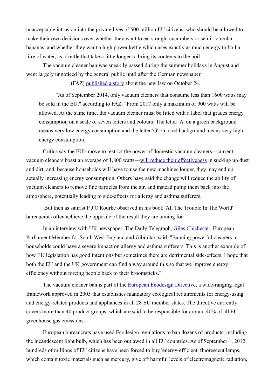unacceptable intrusion into the private lives of 500 million EU citizens, who should be allowed to make their own decisions over whether they want to eat straight cucumbers or semi - circular bananas, and whether they want a high power kettle which uses exactly as much energy to boil a litre of water, as a kettle that take a little longer to bring its contents to the boil.

The vacuum cleaner ban was sneakily passed during the summer holidays in August and went largely unnoticed by the general public until after the German newspaper

*Allgemeine Zeitung* (FAZ) [published a story](http://www.faz.net/aktuell/wirtschaft/zu-hoher-stromverbrauch-eu-verbietet-energiehungrige-staubsauger-12632478.html) about the new law on October 24.

"As of September 2014, only vacuum cleaners that consume less than 1600 watts may be sold in the EU," according to FAZ. "From 2017 only a maximum of 900 watts will be allowed. At the same time, the vacuum cleaner must be fitted with a label that grades energy consumption on a scale of seven letters and colours: The letter 'A' on a green background means very low energy consumption and the letter 'G' on a red background means very high energy consumption."

Critics say the EU's move to restrict the power of domestic vacuum cleaners—current vacuum cleaners boast an average of 1,800 watts[—will reduce their effectiveness](http://www.dailymail.co.uk/news/article-2486045/Now-Europe-wants-make-harder-clean-carpets-new-rules-BANNING-powerful-vacuum-cleaners.html) in sucking up dust and dirt; and, because households will have to use the new machines longer, they may end up actually increasing energy consumption. Others have said the change will reduce the ability of vacuum cleaners to remove fine particles from the air, and instead pump them back into the atmosphere, potentially leading to side-effects for allergy and asthma sufferers.

 But then as satirist P J O'Rourke observed in his book 'All The Trouble In The World' bureaucrats often achieve the opposite of the result they are aiming for.

In an interview with UK newspaper The Daily Telegraph, [Giles Chichester,](http://www.telegraph.co.uk/news/worldnews/europe/eu/7996383/Europe-to-cut-power-of-vacuum-cleaners-to-save-energy.html) European Parliament Member for South West England and Gibraltar, said: "Banning powerful cleaners in households could have a severe impact on allergy and asthma sufferers. This is another example of how EU legislation has good intentions but sometimes there are detrimental side-effects. I hope that both the EU and the UK government can find a way around this so that we improve energy efficiency without forcing people back to their broomsticks."

The vacuum cleaner ban is part of the **European Ecodesign Directive**, a wide-ranging legal framework approved in 2005 that establishes mandatory ecological requirements for energy-using and energy-related products and appliances in all 28 EU member states. The directive currently covers more than 40 product groups, which are said to be responsible for around 40% of all EU greenhouse gas emissions.

European bureaucrats have used Ecodesign regulations to ban dozens of products, including the incandescent light bulb, which has been outlawed in all EU countries. As of September 1, 2012, hundreds of millions of EU citizens have been forced to buy 'energy-efficient' fluorescent lamps, which contain toxic materials such as mercury, give off harmful levels of electromagnetic radiation,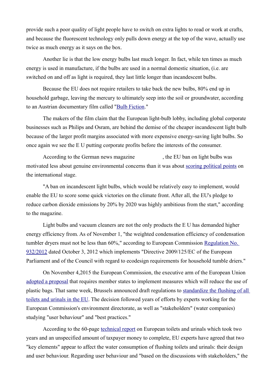provide such a poor quality of light people have to switch on extra lights to read or work at crafts, and because the fluorescent technology only pulls down energy at the top of the wave, actually use twice as much energy as it says on the box.

Another lie is that the low energy bulbs last much longer. In fact, while ten times as much energy is used in manufacture, if the bulbs are used in a normal domestic situation, (i.e. are switched on and off as light is required, they last little longer than incandescent bulbs.

Because the EU does not require retailers to take back the new bulbs, 80% end up in household garbage, leaving the mercury to ultimately seep into the soil or groundwater, according to an Austrian documentary film called ["Bulb Fiction.](http://www.bulbfiction-derfilm.com/)"

The makers of the film claim that the European light-bulb lobby, including global corporate businesses such as Philips and Osram, are behind the demise of the cheaper incandescent light bulb because of the larger profit margins associated with more expensive energy-saving light bulbs. So once again we see the E U putting corporate profits before the interests of the consumer.

According to the German news magazine , the EU ban on light bulbs was motivated less about genuine environmental concerns than it was about [scoring political points](http://www.spiegel.de/international/europe/eu-light-bulb-ban-illuminates-power-struggle-in-brussels-a-852931.html) on the international stage.

"A ban on incandescent light bulbs, which would be relatively easy to implement, would enable the EU to score some quick victories on the climate front. After all, the EU's pledge to reduce carbon dioxide emissions by 20% by 2020 was highly ambitious from the start," according to the magazine.

Light bulbs and vacuum cleaners are not the only products the E U has demanded higher energy efficiency from. As of November 1, "the weighted condensation efficiency of condensation tumbler dryers must not be less than 60%," according to European Commission [Regulation No.](http://eur-lex.europa.eu/LexUriServ/LexUriServ.do?uri=OJ:L:2012:278:0001:0010:EN:PDF) [932/2012](http://eur-lex.europa.eu/LexUriServ/LexUriServ.do?uri=OJ:L:2012:278:0001:0010:EN:PDF) dated October 3, 2012 which implements "Directive 2009/125/EC of the European Parliament and of the Council with regard to ecodesign requirements for household tumble driers."

On November 4,2015 the European Commission, the executive arm of the European Union [adopted a proposal](http://europa.eu/rapid/press-release_IP-13-1017_en.htm) that requires member states to implement measures which will reduce the use of plastic bags. That same week, Brussels announced draft regulations to [standardize the flushing of all](http://www.euractiv.com/climate-environment/commission-regulates-flushing-to-news-531374) [toilets and urinals in the EU.](http://www.euractiv.com/climate-environment/commission-regulates-flushing-to-news-531374) The decision followed years of efforts by experts working for the European Commission's environment directorate, as well as "stakeholders" (water companies) studying "user behaviour" and "best practices."

According to the 60-page [technical report](http://susproc.jrc.ec.europa.eu/toilets/docs/Technical_report_Ecolabel_May_2013a_revised_final.pdf) on European toilets and urinals which took two years and an unspecified amount of taxpayer money to complete, EU experts have agreed that two "key elements" appear to affect the water consumption of flushing toilets and urinals: their design and user behaviour. Regarding user behaviour and "based on the discussions with stakeholders," the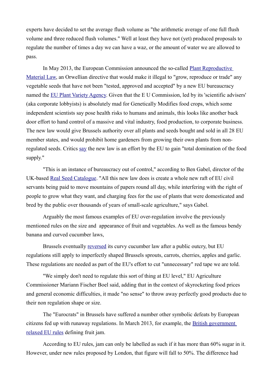experts have decided to set the average flush volume as "the arithmetic average of one full flush volume and three reduced flush volumes." Well at least they have not (yet) produced proposals to regulate the number of times a day we can have a waz, or the amount of water we are allowed to pass.

In May 2013, the European Commission announced the so-called [Plant Reproductive](http://ec.europa.eu/dgs/health_consumer/pressroom/docs/proposal_aphp_en.pdf) [Material Law,](http://ec.europa.eu/dgs/health_consumer/pressroom/docs/proposal_aphp_en.pdf) an Orwellian directive that would make it illegal to "grow, reproduce or trade" any vegetable seeds that have not been "tested, approved and accepted" by a new EU bureaucracy named the [EU Plant Variety Agency.](http://www.cpvo.europa.eu/main/) Given that the E U Commission, led by its 'scientific advisers' (aka corporate lobbyists) is absolutely mad for Genetically Modifies food crops, which some independent scientists say pose health risks to humans and animals, this looks like another back door effort to hand control of a massive and vital industry, food production, to corporate business. The new law would give Brussels authority over all plants and seeds bought and sold in all 28 EU member states, and would prohibit home gardeners from growing their own plants from nonregulated seeds. Critics [say](http://www.naturalnews.com/040214_seeds_European_Commission_registration.html) the new law is an effort by the EU to gain "total domination of the food supply."

"This is an instance of bureaucracy out of control," according to Ben Gabel, director of the UK-based [Real Seed Catalogue.](http://www.realseeds.co.uk/seedlaw2.html) "All this new law does is create a whole new raft of EU civil servants being paid to move mountains of papers round all day, while interfering with the right of people to grow what they want, and charging fees for the use of plants that were domesticated and bred by the public over thousands of years of small-scale agriculture," says Gabel.

Arguably the most famous examples of EU over-regulation involve the previously mentioned rules on the size and appearance of fruit and vegetables. As well as the famous bendy banana and curved cucumber laws,

Brussels eventually [reversed](http://www.euractiv.com/cap/commission-allows-sale-curvy-cuc-news-220863) its curvy cucumber law after a public outcry, but EU regulations still apply to imperfectly shaped Brussels sprouts, carrots, cherries, apples and garlic. These regulations are needed as part of the EU's effort to cut "unnecessary" red tape we are told.

"We simply don't need to regulate this sort of thing at EU level," EU Agriculture Commissioner Mariann Fischer Boel said, adding that in the context of skyrocketing food prices and general economic difficulties, it made "no sense" to throw away perfectly good products due to their non regulation shape or size.

The "Eurocrats" in Brussels have suffered a number other symbolic defeats by European citizens fed up with runaway regulations. In March 2013, for example, the [British government](http://www.theguardian.com/uk/2013/mar/16/vince-cable-jam-eu-rules) [relaxed EU rules](http://www.theguardian.com/uk/2013/mar/16/vince-cable-jam-eu-rules) defining fruit jam.

According to EU rules, jam can only be labelled as such if it has more than 60% sugar in it. However, under new rules proposed by London, that figure will fall to 50%. The difference had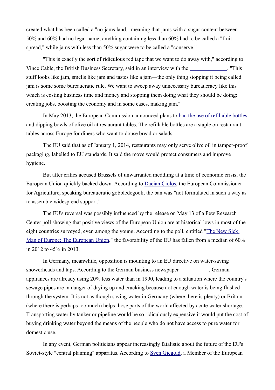created what has been called a "no-jams land," meaning that jams with a sugar content between 50% and 60% had no legal name; anything containing less than 60% had to be called a "fruit spread," while jams with less than 50% sugar were to be called a "conserve."

"This is exactly the sort of ridiculous red tape that we want to do away with," according to Vince Cable, the British Business Secretary, said in an interview with the **Daily 2006**. "This stuff looks like jam, smells like jam and tastes like a jam—the only thing stopping it being called jam is some some bureaucratic rule. We want to sweep away unnecessary bureaucracy like this which is costing business time and money and stopping them doing what they should be doing: creating jobs, boosting the economy and in some cases, making jam."

In May 2013, the European Commission announced plans to [ban the use of refillable bottles](http://www.bbc.co.uk/news/world-europe-22579896) and dipping bowls of olive oil at restaurant tables. The refillable bottles are a staple on restaurant tables across Europe for diners who want to douse bread or salads.

The EU said that as of January 1, 2014, restaurants may only serve olive oil in tamper-proof packaging, labelled to EU standards. It said the move would protect consumers and improve hygiene.

But after critics accused Brussels of unwarranted meddling at a time of economic crisis, the European Union quickly backed down. According to [Dacian Cioloş,](http://ec.europa.eu/commission_2010-2014/ciolos/) the European Commissioner for Agriculture, speaking bureaucratic gobbledegook, the ban was "not formulated in such a way as to assemble widespread support."

The EU's reversal was possibly influenced by the release on May 13 of a Pew Research Center poll showing that positive views of the European Union are at historical lows in most of the eight countries surveyed, even among the young. According to the poll, entitled ["The New Sick](http://www.pewglobal.org/2013/05/13/the-new-sick-man-of-europe-the-european-union/) [Man of Europe: The European Union,](http://www.pewglobal.org/2013/05/13/the-new-sick-man-of-europe-the-european-union/)" the favorability of the EU has fallen from a median of 60% in 2012 to 45% in 2013.

In Germany, meanwhile, opposition is mounting to an EU directive on water-saving showerheads and taps. According to the German business newspaper <u>Januar Business, German</u> appliances are already using 20% less water than in 1990, leading to a situation where the country's sewage pipes are in danger of drying up and cracking because not enough water is being flushed through the system. It is not as though saving water in Germany (where there is plenty) or Britain (where there is perhaps too much) helps those parts of the world affected by acute water shortage. Transporting water by tanker or pipeline would be so ridiculously expensive it would put the cost of buying drinking water beyond the means of the people who do not have access to pure water for domestic use.

In any event, German politicians appear increasingly fatalistic about the future of the EU's Soviet-style "central planning" apparatus. According to [Sven Giegold,](http://www.spiegel.de/international/europe/eu-light-bulb-ban-illuminates-power-struggle-in-brussels-a-852931.html) a Member of the European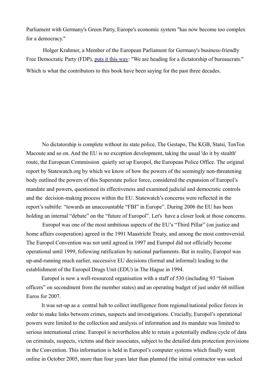Parliament with Germany's Green Party, Europe's economic system "has now become too complex for a democracy."

Holger Krahmer, a Member of the European Parliament for Germany's business-friendly Free Democratic Party (FDP), [puts it this way:](http://www.spiegel.de/international/europe/eu-light-bulb-ban-illuminates-power-struggle-in-brussels-a-852931.html) "We are heading for a dictatorship of bureaucrats." Which is what the contributors to this book have been saying for the past three decades.

No dictatorship is complete without its state police, The Gestapo, The KGB, Statsi, TonTon Macoute and so on. And the EU is no exception development, taking the usual 'do it by stealth' route, the European Commission quietly set up Europol, the European Police Office. The original report by Statewatch.org by which we know of how the powers of the seemingly non-threatening body outlined the powers of this Superstate police force, considered the expansion of Europol's mandate and powers, questioned its effectiveness and examined judicial and democratic controls and the decision-making process within the EU. Statewatch's concerns were reflected in the report's subtitle: "towards an unaccountable "FBI" in Europe". During 2006 the EU has been holding an internal "debate" on the "future of Europol". Let's have a closer look at those concerns.

Europol was one of the most ambitious aspects of the EU's "Third Pillar" (on justice and home affairs cooperation) agreed in the 1991 Maastricht Treaty, and among the most controversial. The Europol Convention was not until agreed in 1997 and Europol did not officially become operational until 1999, following ratification by national parliaments. But in reality, Europol was up-and-running much earlier, successive EU decisions (formal and informal) leading to the establishment of the Europol Drugs Unit (EDU) in The Hague in 1994.

Europol is now a well-resourced organisation with a staff of 530 (including 93 "liaison officers" on secondment from the member states) and an operating budget of just under 68 million Euros for 2007.

It was set-up as a central hub to collect intelligence from regional/national police forces in order to make links between crimes, suspects and investigations. Crucially, Europol's operational powers were limited to the collection and analysis of information and its mandate was limited to serious international crime. Europol is nevertheless able to retain a potentially endless cycle of data on criminals, suspects, victims and their associates, subject to the detailed data protection provisions in the Convention. This information is held in Europol's computer systems which finally went online in October 2005, more than four years later than planned (the initial contractor was sacked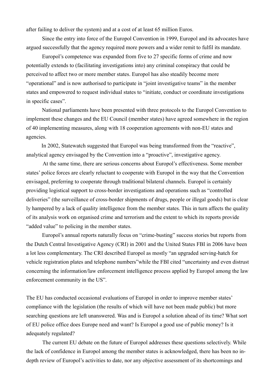after failing to deliver the system) and at a cost of at least 65 million Euros.

Since the entry into force of the Europol Convention in 1999, Europol and its advocates have argued successfully that the agency required more powers and a wider remit to fulfil its mandate.

Europol's competence was expanded from five to 27 specific forms of crime and now potentially extends to (facilitating investigations into) any criminal conspiracy that could be perceived to affect two or more member states. Europol has also steadily become more "operational" and is now authorised to participate in "joint investigative teams" in the member states and empowered to request individual states to "initiate, conduct or coordinate investigations in specific cases".

National parliaments have been presented with three protocols to the Europol Convention to implement these changes and the EU Council (member states) have agreed somewhere in the region of 40 implementing measures, along with 18 cooperation agreements with non-EU states and agencies.

In 2002, Statewatch suggested that Europol was being transformed from the "reactive", analytical agency envisaged by the Convention into a "proactive", investigative agency.

At the same time, there are serious concerns about Europol's effectiveness. Some member states' police forces are clearly reluctant to cooperate with Europol in the way that the Convention envisaged, preferring to cooperate through traditional bilateral channels. Europol is certainly providing logistical support to cross-border investigations and operations such as "controlled deliveries" (the surveillance of cross-border shipments of drugs, people or illegal goods) but is clear ly hampered by a lack of quality intelligence from the member states. This in turn affects the quality of its analysis work on organised crime and terrorism and the extent to which its reports provide "added value" to policing in the member states.

Europol's annual reports naturally focus on "crime-busting" success stories but reports from the Dutch Central Investigative Agency (CRI) in 2001 and the United States FBI in 2006 have been a lot less complementary. The CRI described Europol as mostly "an upgraded serving-hatch for vehicle registration plates and telephone numbers"while the FBI cited "uncertainty and even distrust concerning the information/law enforcement intelligence process applied by Europol among the law enforcement community in the US".

The EU has conducted occasional evaluations of Europol in order to improve member states' compliance with the legislation (the results of which will have not been made public) but more searching questions are left unanswered. Was and is Europol a solution ahead of its time? What sort of EU police office does Europe need and want? Is Europol a good use of public money? Is it adequately regulated?

The current EU debate on the future of Europol addresses these questions selectively. While the lack of confidence in Europol among the member states is acknowledged, there has been no indepth review of Europol's activities to date, nor any objective assessment of its shortcomings and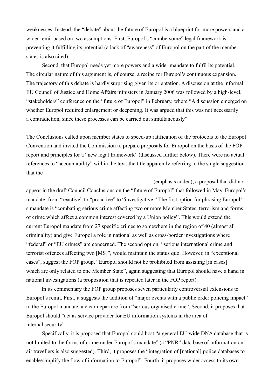weaknesses. Instead, the "debate" about the future of Europol is a blueprint for more powers and a wider remit based on two assumptions. First, Europol's "cumbersome" legal framework is preventing it fulfilling its potential (a lack of "awareness" of Europol on the part of the member states is also cited).

Second, that Europol needs yet more powers and a wider mandate to fulfil its potential. The circular nature of this argument is, of course, a recipe for Europol's continuous expansion. The trajectory of this debate is hardly surprising given its orientation. A discussion at the informal EU Council of Justice and Home Affairs ministers in January 2006 was followed by a high-level, "stakeholders" conference on the "future of Europol" in February, where "A discussion emerged on whether Europol required enlargement or deepening. It was argued that this was not necessarily a contradiction, since these processes can be carried out simultaneously"

The Conclusions called upon member states to speed-up ratification of the protocols to the Europol Convention and invited the Commission to prepare proposals for Europol on the basis of the FOP report and principles for a "new legal framework" (discussed further below). There were no actual references to "accountability" within the text, the title apparently referring to the single suggestion that the **"Council should encourage the European Parliament to set-up a joint European Parliament to set-up a joint European Parliament to set-up a joint European Parliament to set-up a joint European Parliament in the Eur** 

**parliament mechanism to follow Europol's activities"** (emphasis added), a proposal that did not appear in the draft Council Conclusions on the "future of Europol" that followed in May. Europol's mandate: from "reactive" to "proactive" to "investigative." The first option for phrasing Europol' s mandate is "combating serious crime affecting two or more Member States, terrorism and forms of crime which affect a common interest covered by a Union policy". This would extend the current Europol mandate from 27 specific crimes to somewhere in the region of 40 (almost all criminality) and give Europol a role in national as well as cross-border investigations where "federal" or "EU crimes" are concerned. The second option, "serious international crime and terrorist offences affecting two [MS]", would maintain the status quo. However, in "exceptional cases", suggest the FOP group, "Europol should not be prohibited from assisting [in cases] which are only related to one Member State", again suggesting that Europol should have a hand in national investigations (a proposition that is repeated later in the FOP report).

In its commentary the FOP group proposes seven particularly controversial extensions to Europol's remit. First, it suggests the addition of "major events with a public order policing impact" to the Europol mandate, a clear departure from "serious organised crime". Second, it proposes that Europol should "act as service provider for EU information systems in the area of internal security".

Specifically, it is proposed that Europol could host "a general EU-wide DNA database that is not limited to the forms of crime under Europol's mandate" (a "PNR" data base of information on air travellers is also suggested). Third, it proposes the "integration of [national] police databases to enable/simplify the flow of information to Europol". Fourth, it proposes wider access to its own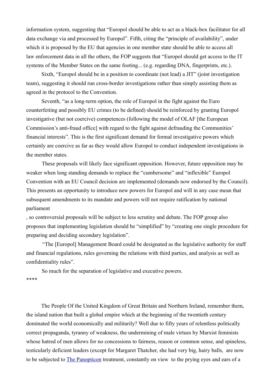information system, suggesting that "Europol should be able to act as a black-box facilitator for all data exchange via and processed by Europol". Fifth, citing the "principle of availability", under which it is proposed by the EU that agencies in one member state should be able to access all law enforcement data in all the others, the FOP suggests that "Europol should get access to the IT systems of the Member States on the same footing... (e.g. regarding DNA, fingerprints, etc.).

Sixth, "Europol should be in a position to coordinate (not lead) a JIT" (joint investigation team), suggesting it should run cross-border investigations rather than simply assisting them as agreed in the protocol to the Convention.

Seventh, "as a long-term option, the role of Europol in the fight against the Euro counterfeiting and possibly EU crimes (to be defined) should be reinforced by granting Europol investigative (but not coercive) competences (following the model of OLAF [the European Commission's anti-fraud office] with regard to the fight against defrauding the Communities' financial interests". This is the first significant demand for formal investigative powers which certainly are coercive as far as they would allow Europol to conduct independent investigations in the member states.

These proposals will likely face significant opposition. However, future opposition may be weaker when long standing demands to replace the "cumbersome" and "inflexible" Europol Convention with an EU Council decision are implemented (demands now endorsed by the Council). This presents an opportunity to introduce new powers for Europol and will in any case mean that subsequent amendments to its mandate and powers will not require ratification by national parliament

, so controversial proposals will be subject to less scrutiny and debate. The FOP group also proposes that implementing legislation should be "simplified" by "creating one single procedure for preparing and deciding secondary legislation".

"The [Europol] Management Board could be designated as the legislative authority for staff and financial regulations, rules governing the relations with third parties, and analysis as well as confidentiality rules".

So much for the separation of legislative and executive powers. \*\*\*\*

The People Of the United Kingdom of Great Britain and Northern Ireland, remember them, the island nation that built a global empire which at the beginning of the twentieth century dominated the world economically and militarily? Well due to fifty years of relentless politically correct propaganda, tyranny of weakness, the undermining of male virtues by Marxist feminists whose hatred of men allows for no concessions to fairness, reason or common sense, and spineless, testicularly deficient leaders (except for Margaret Thatcher, she had very big, hairy balls, are now to be subjected to [The Panopticon](https://www.scribd.com/doc/117026917/The-Panopticon-and-our-digital-surveillance-society) treatment, constantly on view to the prying eyes and ears of a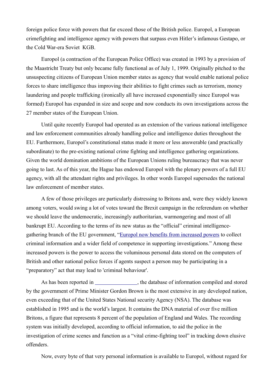foreign police force with powers that far exceed those of the British police. Europol, a European crimefighting and intelligence agency with powers that surpass even Hitler's infamous Gestapo, or the Cold War-era Soviet KGB.

Europol (a contraction of the European Police Office) was created in 1993 by a provision of the Maastricht Treaty but only became fully functional as of July 1, 1999. Originally pitched to the unsuspecting citizens of European Union member states as agency that would enable national police forces to share intelligence thus improving their abilities to fight crimes such as terrorism, money laundering and people trafficking (ironically all have increased exponentially since Europol was formed) Europol has expanded in size and scope and now conducts its own investigations across the 27 member states of the European Union.

Until quite recently Europol had operated as an extension of the various national intelligence and law enforcement communities already handling police and intelligence duties throughout the EU. Furthermore, Europol's constitutional status made it more or less answerable (and practically subordinate) to the pre-existing national crime fighting and intelligence gathering organizations. Given the world domination ambitions of the European Unions ruling bureaucracy that was never going to last. As of this year, the Hague has endowed Europol with the plenary powers of a full EU agency, with all the attendant rights and privileges. In other words Europol supersedes the national law enforcement of member states.

A few of those privileges are particularly distressing to Britons and, were they widely known among voters, would swing a lot of votes toward the Brexit campaign in the referendum on whether we should leave the undemocratic, increasingly authoritarian, warmongering and most of all bankrupt EU. According to the terms of its new status as the "official" criminal intelligencegathering branch of the EU government, ["Europol now benefits from increased powers](http://www.europol.europa.eu/index.asp?page=news&news=pr100105.htm) to collect criminal information and a wider field of competence in supporting investigations." Among these increased powers is the power to access the voluminous personal data stored on the computers of British and other national police forces if agents suspect a person may be participating in a "preparatory" act that may lead to 'criminal behaviour'.

As has been reported in the New American compiled and stored in  $\ddot{\theta}$ , the database of information compiled and stored by the government of Prime Minister Gordon Brown is the most extensive in any developed nation, even exceeding that of the United States National security Agency (NSA). The database was established in 1995 and is the world's largest. It contains the DNA material of over five million Britons, a figure that represents 8 percent of the population of England and Wales. The recording system was initially developed, according to official information, to aid the police in the investigation of crime scenes and function as a "vital crime-fighting tool" in tracking down elusive offenders.

Now, every byte of that very personal information is available to Europol, without regard for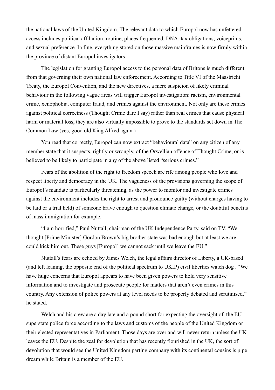the national laws of the United Kingdom. The relevant data to which Europol now has unfettered access includes political affiliation, routine, places frequented, DNA, tax obligations, voiceprints, and sexual preference. In fine, everything stored on those massive mainframes is now firmly within the province of distant Europol investigators.

The legislation for granting Europol access to the personal data of Britons is much different from that governing their own national law enforcement. According to Title VI of the Maastricht Treaty, the Europol Convention, and the new directives, a mere suspicion of likely criminal behaviour in the following vague areas will trigger Europol investigation: racism, environmental crime, xenophobia, computer fraud, and crimes against the environment. Not only are these crimes against political correctness (Thought Crime dare I say) rather than real crimes that cause physical harm or material loss, they are also virtually impossible to prove to the standards set down in The Common Law (yes, good old King Alfred again.)

You read that correctly, Europol can now extract "behavioural data" on any citizen of any member state that it suspects, rightly or wrongly, of the Orwellian offence of Thought Crime, or is believed to be likely to participate in any of the above listed "serious crimes."

Fears of the abolition of the right to freedom speech are rife among people who love and respect liberty and democracy in the UK. The vagueness of the provisions governing the scope of Europol's mandate is particularly threatening, as the power to monitor and investigate crimes against the environment includes the right to arrest and pronounce guilty (without charges having to be laid or a trial held) of someone brave enough to question climate change, or the doubtful benefits of mass immigration for example.

"I am horrified," Paul Nuttall, chairman of the UK Independence Party, said on TV. "We thought [Prime Minister] Gordon Brown's big brother state was bad enough but at least we are could kick him out. These guys [Europol] we cannot sack until we leave the EU."

Nuttall's fears are echoed by James Welch, the legal affairs director of Liberty, a UK-based (and left leaning, the opposite end of the political spectrum to UKIP) civil liberties watch dog . "We have huge concerns that Europol appears to have been given powers to hold very sensitive information and to investigate and prosecute people for matters that aren't even crimes in this country. Any extension of police powers at any level needs to be properly debated and scrutinised," he stated.

Welch and his crew are a day late and a pound short for expecting the oversight of the EU superstate police force according to the laws and customs of the people of the United Kingdom or their elected representatives in Parliament. Those days are over and will never return unless the UK leaves the EU. Despite the zeal for devolution that has recently flourished in the UK, the sort of devolution that would see the United Kingdom parting company with its continental cousins is pipe dream while Britain is a member of the EU.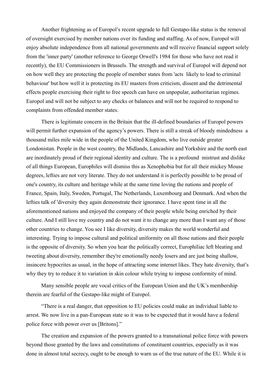Another frightening as of Europol's recent upgrade to full Gestapo-like status is the removal of oversight exercised by member nations over its funding and staffing. As of now, Europol will enjoy absolute independence from all national governments and will receive financial support solely from the 'inner party' (another reference to George Orwell's 1984 for those who have not read it recently), the EU Commissioners in Brussels. The strength and survival of Europol will depend not on how well they are protecting the people of member states from 'acts likely to lead to criminal behaviour' but how well it is protecting its EU masters from criticism, dissent and the detrimental effects people exercising their right to free speech can have on unpopular, authoritarian regimes. Europol and will not be subject to any checks or balances and will not be required to respond to complaints from offended member states.

There is legitimate concern in the Britain that the ill-defined boundaries of Europol powers will permit further expansion of the agency's powers. There is still a streak of bloody mindedness a thousand miles mile wide in the people of the United Kingdom, who live outside greater Londonistan. People in the west country, the Midlands, Lancashire and Yorkshire and the north east are inordinately proud of their regional identity and culture. The is a profound mistrust and dislike of all things European, Europhiles will dismiss this as Xenophobia but for all their mickey Mouse degrees, lefties are not very literate. They do not understand it is perfectly possible to be proud of one's country, its culture and heritage while at the same time loving the nations and people of France, Spain, Italy, Sweden, Portugal, The Netherlands, Luxembourg and Denmark. And when the lefties talk of 'diversity they again demonstrate their ignorance. I have spent time in all the aforementioned nations and enjoyed the company of their people while being enriched by their culture. And I still love my country and do not want it to change any more than I want any of those other countries to change. You see I like diversity, diversity makes the world wonderful and interesting. Trying to impose cultural and political uniformity on all those nations and their people is the opposite of diversity. So when you hear the politically correct, Europhiliac left bleating and tweeting about diversity, remember they're emotionally needy losers and are just being shallow, insincere hypocrites as usual, in the hope of attracting some internet likes. They hate diversity, that's why they try to reduce it to variation in skin colour while trying to impose conformity of mind.

Many sensible people are vocal critics of the European Union and the UK's membership therein are fearful of the Gestapo-like might of Europol.

"There is a real danger, that opposition to EU policies could make an individual liable to arrest. We now live in a pan-European state so it was to be expected that it would have a federal police force with power over us [Britons]."

The creation and expansion of the powers granted to a transnational police force with powers beyond those granted by the laws and constitutions of constituent countries, especially as it was done in almost total secrecy, ought to be enough to warn us of the true nature of the EU. While it is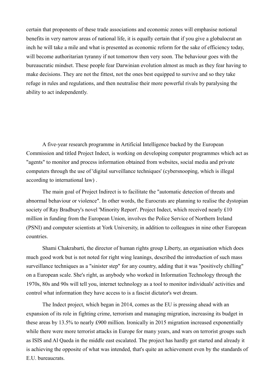certain that proponents of these trade associations and economic zones will emphasise notional benefits in very narrow areas of national life, it is equally certain that if you give a globalocrat an inch he will take a mile and what is presented as economic reform for the sake of efficiency today, will become authoritarian tyranny if not tomorrow then very soon. The behaviour goes with the bureaucratic mindset. These people fear Darwinian evolution almost as much as they fear having to make decisions. They are not the fittest, not the ones best equipped to survive and so they take refuge in rules and regulations, and then neutralise their more powerful rivals by paralysing the ability to act independently.

A five-year research programme in Artificial Intelligence backed by the European Commission and titled Project Indect, is working on developing computer programmes which act as "agents" to monitor and process information obtained from websites, social media and private computers through the use of 'digital surveillance techniques' (cybersnooping, which is illegal according to international law) .

The main goal of Project Indirect is to facilitate the "automatic detection of threats and abnormal behaviour or violence". In other words, the Eurocrats are planning to realise the dystopian society of Ray Bradbury's novel 'Minority Report'. Project Indect, which received nearly £10 million in funding from the European Union, involves the Police Service of Northern Ireland (PSNI) and computer scientists at York University, in addition to colleagues in nine other European countries.

Shami Chakrabarti, the director of human rights group Liberty, an organisation which does much good work but is not noted for right wing leanings, described the introduction of such mass surveillance techniques as a "sinister step" for any country, adding that it was "positively chilling" on a European scale. She's right, as anybody who worked in Information Technology through the 1970s, 80s and 90s will tell you, internet technology as a tool to monitor individuals' activities and control what information they have access to is a fascist dictator's wet dream.

The Indect project, which began in 2014, comes as the EU is pressing ahead with an expansion of its role in fighting crime, terrorism and managing migration, increasing its budget in these areas by 13.5% to nearly £900 million. Ironically in 2015 migration increased exponentially while there were more terrorist attacks in Europe for many years, and wars on terrorist groups such as ISIS and Al Qaeda in the middle east escalated. The project has hardly got started and already it is achieving the opposite of what was intended, that's quite an achievement even by the standards of E.U. bureaucrats.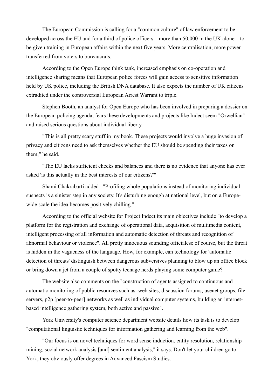The European Commission is calling for a "common culture" of law enforcement to be developed across the EU and for a third of police officers – more than 50,000 in the UK alone – to be given training in European affairs within the next five years. More centralisation, more power transferred from voters to bureaucrats.

According to the Open Europe think tank, increased emphasis on co-operation and intelligence sharing means that European police forces will gain access to sensitive information held by UK police, including the British DNA database. It also expects the number of UK citizens extradited under the controversial European Arrest Warrant to triple.

Stephen Booth, an analyst for Open Europe who has been involved in preparing a dossier on the European policing agenda, fears these developments and projects like Indect seem "Orwellian" and raised serious questions about individual liberty.

"This is all pretty scary stuff in my book. These projects would involve a huge invasion of privacy and citizens need to ask themselves whether the EU should be spending their taxes on them," he said.

"The EU lacks sufficient checks and balances and there is no evidence that anyone has ever asked 'is this actually in the best interests of our citizens?'"

Shami Chakrabarti added : "Profiling whole populations instead of monitoring individual suspects is a sinister step in any society. It's disturbing enough at national level, but on a Europewide scale the idea becomes positively chilling."

According to the official website for Project Indect its main objectives include "to develop a platform for the registration and exchange of operational data, acquisition of multimedia content, intelligent processing of all information and automatic detection of threats and recognition of abnormal behaviour or violence". All pretty innocuous sounding officialese of course, but the threat is hidden in the vagueness of the language. How, for example, can technology for 'automatic detection of threats' distinguish between dangerous subversives planning to blow up an office block or bring down a jet from a couple of spotty teenage nerds playing some computer game?

The website also comments on the "construction of agents assigned to continuous and automatic monitoring of public resources such as: web sites, discussion forums, usenet groups, file servers, p2p [peer-to-peer] networks as well as individual computer systems, building an internetbased intelligence gathering system, both active and passive".

York University's computer science department website details how its task is to develop "computational linguistic techniques for information gathering and learning from the web".

"Our focus is on novel techniques for word sense induction, entity resolution, relationship mining, social network analysis [and] sentiment analysis," it says. Don't let your children go to York, they obviously offer degrees in Advanced Fascism Studies.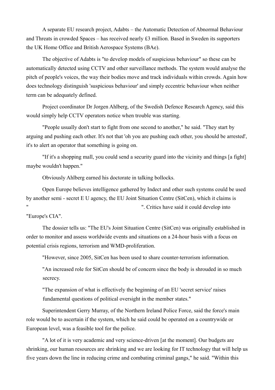A separate EU research project, Adabts – the Automatic Detection of Abnormal Behaviour and Threats in crowded Spaces – has received nearly £3 million. Based in Sweden its supporters the UK Home Office and British Aerospace Systems (BAe).

The objective of Adabts is "to develop models of suspicious behaviour" so these can be automatically detected using CCTV and other surveillance methods. The system would analyse the pitch of people's voices, the way their bodies move and track individuals within crowds. Again how does technology distinguish 'suspicious behaviour' and simply eccentric behaviour when neither term can be adequately defined.

Project coordinator Dr Jorgen Ahlberg, of the Swedish Defence Research Agency, said this would simply help CCTV operators notice when trouble was starting.

"People usually don't start to fight from one second to another," he said. "They start by arguing and pushing each other. It's not that 'oh you are pushing each other, you should be arrested', it's to alert an operator that something is going on.

"If it's a shopping mall, you could send a security guard into the vicinity and things [a fight] maybe wouldn't happen."

Obviously Ahlberg earned his doctorate in talking bollocks.

Open Europe believes intelligence gathered by Indect and other such systems could be used by another semi - secret E U agency, the EU Joint Situation Centre (SitCen), which it claims is ". Critics have said it could develop into

"Europe's CIA".

The dossier tells us: "The EU's Joint Situation Centre (SitCen) was originally established in order to monitor and assess worldwide events and situations on a 24-hour basis with a focus on potential crisis regions, terrorism and WMD-proliferation.

"However, since 2005, SitCen has been used to share counter-terrorism information.

"An increased role for SitCen should be of concern since the body is shrouded in so much secrecy.

"The expansion of what is effectively the beginning of an EU 'secret service' raises fundamental questions of political oversight in the member states."

Superintendent Gerry Murray, of the Northern Ireland Police Force, said the force's main role would be to ascertain if the system, which he said could be operated on a countrywide or European level, was a feasible tool for the police.

"A lot of it is very academic and very science-driven [at the moment]. Our budgets are shrinking, our human resources are shrinking and we are looking for IT technology that will help us five years down the line in reducing crime and combating criminal gangs," he said. "Within this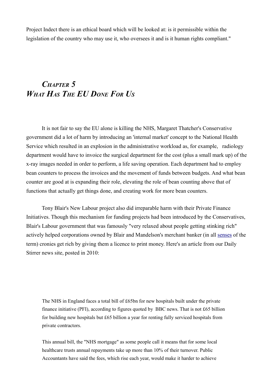Project Indect there is an ethical board which will be looked at: is it permissible within the legislation of the country who may use it, who oversees it and is it human rights compliant."

## *CHAPTER 5 WHAT HAS THE EU DONE FOR U<sup>S</sup>*

It is not fair to say the EU alone is killing the NHS, Margaret Thatcher's Conservative government did a lot of harm by introducing an 'internal market' concept to the National Health Service which resulted in an explosion in the administrative workload as, for example, radiology department would have to invoice the surgical department for the cost (plus a small mark up) of the x-ray images needed in order to perform, a life saving operation. Each department had to employ bean counters to process the invoices and the movement of funds between budgets. And what bean counter are good at is expanding their role, elevating the role of bean counting above that of functions that actually get things done, and creating work for more bean counters.

Tony Blair's New Labour project also did irreparable harm with their Private Finance Initiatives. Though this mechanism for funding projects had been introduced by the Conservatives, Blair's Labour government that was famously "very relaxed about people getting stinking rich" actively helped corporations owned by Blair and Mandelson's merchant banker (in all [senses](http://www.cockneyrhymingslang.co.uk/slang/merchant_banker) of the term) cronies get rich by giving them a licence to print money. Here's an article from our Daily Stirrer news site, posted in 2010:

The NHS in England faces a total bill of £65bn for new hospitals built under the private finance initiative (PFI), according to figures quoted by BBC news. That is not £65 billion for building new hospitals but £65 billion a year for renting fully serviced hospitals from private contractors.

This annual bill, the "NHS mortgage" as some people call it means that for some local healthcare trusts annual repayments take up more than 10% of their turnover. Public Accountants have said the fees, which rise each year, would make it harder to achieve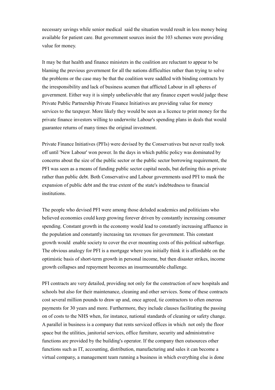necessary savings while senior medical said the situation would result in less money being available for patient care. But government sources insist the 103 schemes were providing value for money.

It may be that health and finance ministers in the coalition are reluctant to appear to be blaming the previous government for all the nations difficulties rather than trying to solve the problems or the case may be that the coalition were saddled with binding contracts by the irresponsibility and lack of business acumen that afflicted Labour in all spheres of government. Either way it is simply unbelievable that any finance expert would judge these Private Public Partnership Private Finance Initiatives are providing value for money services to the taxpayer. More likely they would be seen as a licence to print money for the private finance investors willing to underwrite Labour's spending plans in deals that would guarantee returns of many times the original investment.

Private Finance Initiatives (PFIs) were devised by the Conservatives but never really took off until 'New Labour' won power. In the days in which public policy was dominated by concerns about the size of the public sector or the public sector borrowing requirement, the PFI was seen as a means of funding public sector capital needs, but defining this as private rather than public debt. Both Conservative and Labour governments used PFI to mask the expansion of public debt and the true extent of the state's indebtedness to financial institutions.

The people who devised PFI were among those deluded academics and politicians who believed economies could keep growing forever driven by constantly increasing consumer spending. Constant growth in the economy would lead to constantly increasing affluence in the population and constantly increasing tax revenues for government. This constant growth would enable society to cover the ever mounting costs of this political subterfuge. The obvious analogy for PFI is a mortgage where you initially think it is affordable on the optimistic basis of short-term growth in personal income, but then disaster strikes, income growth collapses and repayment becomes an insurmountable challenge.

PFI contracts are very detailed, providing not only for the construction of new hospitals and schools but also for their maintenance, cleaning and other services. Some of these contracts cost several million pounds to draw up and, once agreed, tie contractors to often onerous payments for 30 years and more. Furthermore, they include clauses facilitating the passing on of costs to the NHS when, for instance, national standards of cleaning or safety change. A parallel in business is a company that rents serviced offices in which not only the floor space but the utilities, janitorial services, office furniture, security and administrative functions are provided by the building's operator. If the company then outsources other functions such as IT, accounting, distribution, manufacturing and sales it can become a virtual company, a management team running a business in which everything else is done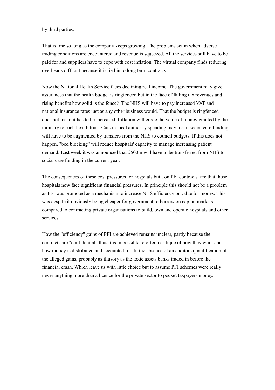#### by third parties.

That is fine so long as the company keeps growing. The problems set in when adverse trading conditions are encountered and revenue is squeezed. All the services still have to be paid for and suppliers have to cope with cost inflation. The virtual company finds reducing overheads difficult because it is tied in to long term contracts.

Now the National Health Service faces declining real income. The government may give assurances that the health budget is ringfenced but in the face of falling tax revenues and rising benefits how solid is the fence? The NHS will have to pay increased VAT and national insurance rates just as any other business would. That the budget is ringfenced does not mean it has to be increased. Inflation will erode the value of money granted by the ministry to each health trust. Cuts in local authority spending may mean social care funding will have to be augmented by transfers from the NHS to council budgets. If this does not happen, "bed blocking" will reduce hospitals' capacity to manage increasing patient demand. Last week it was announced that £500m will have to be transferred from NHS to social care funding in the current year.

The consequences of these cost pressures for hospitals built on PFI contracts are that those hospitals now face significant financial pressures. In principle this should not be a problem as PFI was promoted as a mechanism to increase NHS efficiency or value for money. This was despite it obviously being cheaper for government to borrow on capital markets compared to contracting private organisations to build, own and operate hospitals and other services.

How the "efficiency" gains of PFI are achieved remains unclear, partly because the contracts are "confidential" thus it is impossible to offer a critique of how they work and how money is distributed and accounted for. In the absence of an auditors quantification of the alleged gains, probably as illusory as the toxic assets banks traded in before the financial crash. Which leave us with little choice but to assume PFI schemes were really never anything more than a licence for the private sector to pocket taxpayers money.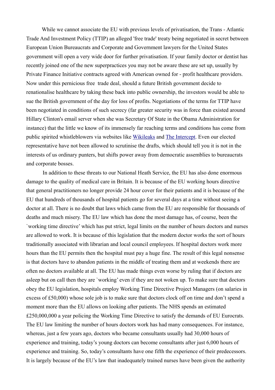While we cannot associate the EU with previous levels of privatisation, the Trans - Atlantic Trade And Investment Policy (TTIP) an alleged 'free trade' treaty being negotiated in secret between European Union Bureaucrats and Corporate and Government lawyers for the United States government will open a very wide door for further privatisation. If your family doctor or dentist has recently joined one of the new superpractices you may not be aware these are set up, usually by Private Finance Initiative contracts agreed with American owned for - profit healthcare providers. Now under this pernicious free trade deal, should a future British government decide to renationalise healthcare by taking these back into public ownership, the investors would be able to sue the British government of the day for loss of profits. Negotiations of the terms for TTIP have been negotiated in conditions of such secrecy (far greater security was in force than existed around Hillary Clinton's email server when she was Secretary Of State in the Obama Administration for instance) that the little we know of its immensely far reaching terms and conditions has come from public spirited whistleblowers via websites like [Wikileaks](https://www.wikileaks.com/) and [The Intercept.](https://theintercept.com/) Even our elected representative have not been allowed to scrutinise the drafts, which should tell you it is not in the interests of us ordinary punters, but shifts power away from democratic assemblies to bureaucrats and corporate bosses.

In addition to these threats to our National Heath Service, the EU has also done enormous damage to the quality of medical care in Britain. It is because of the EU working hours directive that general practitioners no longer provide 24 hour cover for their patients and it is because of the EU that hundreds of thousands of hospital patients go for several days at a time without seeing a doctor at all. There is no doubt that laws which came from the EU are responsible for thousands of deaths and much misery. The EU law which has done the most damage has, of course, been the `working time directive' which has put strict, legal limits on the number of hours doctors and nurses are allowed to work. It is because of this legislation that the modern doctor works the sort of hours traditionally associated with librarian and local council employees. If hospital doctors work more hours than the EU permits then the hospital must pay a huge fine. The result of this legal nonsense is that doctors have to abandon patients in the middle of treating them and at weekends there are often no doctors available at all. The EU has made things even worse by ruling that if doctors are asleep but on call then they are `working' even if they are not woken up. To make sure that doctors obey the EU legislation, hospitals employ Working Time Directive Project Managers (on salaries in excess of £50,000) whose sole job is to make sure that doctors clock off on time and don't spend a moment more than the EU allows on looking after patients. The NHS spends an estimated £250,000,000 a year policing the Working Time Directive to satisfy the demands of EU Eurocrats. The EU law limiting the number of hours doctors work has had many consequences. For instance, whereas, just a few years ago, doctors who became consultants usually had 30,000 hours of experience and training, today's young doctors can become consultants after just 6,000 hours of experience and training. So, today's consultants have one fifth the experience of their predecessors. It is largely because of the EU's law that inadequately trained nurses have been given the authority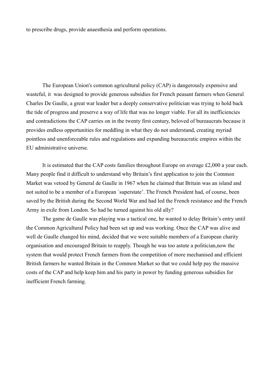to prescribe drugs, provide anaesthesia and perform operations.

The European Union's common agricultural policy (CAP) is dangerously expensive and wasteful, it was designed to provide generous subsidies for French peasant farmers when General Charles De Gaulle, a great war leader but a deeply conservative politician was trying to hold back the tide of progress and preserve a way of life that was no longer viable. For all its inefficiencies and contradictions the CAP carries on in the twenty first century, beloved of bureaucrats because it provides endless opportunities for meddling in what they do not understand, creating myriad pointless and unenforceable rules and regulations and expanding bureaucratic empires within the EU administrative universe.

It is estimated that the CAP costs families throughout Europe on average £2,000 a year each. Many people find it difficult to understand why Britain's first application to join the Common Market was vetoed by General de Gaulle in 1967 when he claimed that Britain was an island and not suited to be a member of a European `superstate'. The French President had, of course, been saved by the British during the Second World War and had led the French resistance and the French Army in exile from London. So had he turned against his old ally?

The game de Gaulle was playing was a tactical one, he wanted to delay Britain's entry until the Common Agricultural Policy had been set up and was working. Once the CAP was alive and well de Gaulle changed his mind, decided that we were suitable members of a European charity organisation and encouraged Britain to reapply. Though he was too astute a politician,now the system that would protect French farmers from the competition of more mechanised and efficient British farmers he wanted Britain in the Common Market so that we could help pay the massive costs of the CAP and help keep him and his party in power by funding generous subsidies for inefficient French farming.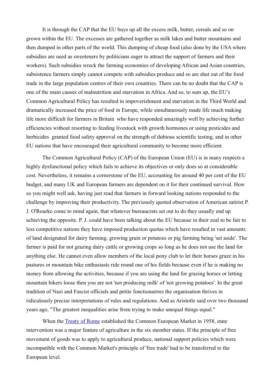It is through the CAP that the EU buys up all the excess milk, butter, cereals and so on grown within the EU. The excesses are gathered together as milk lakes and butter mountains and then dumped in other parts of the world. This dumping of cheap food (also done by the USA where subsidies are used as sweeteners by politicians eager to attract the support of farmers and their workers). Such subsidies wreck the farming economies of developing African and Asian countries, subsistence farmers simply cannot compete with subsidies produce and so are shut out of the food trade in the large population centres of their own countries. There can be no doubt that the CAP is one of the main causes of malnutrition and starvation in Africa. And so, to sum up, the EU's Common Agricultural Policy has resulted in impoverishment and starvation in the Third World and dramatically increased the price of food in Europe, while simultaneously made life much making life more difficult for farmers in Britain who have responded amazingly well by achieving further efficiencies without resorting to feeding livestock with growth hormones or using pesticides and herbicides granted food safety approval on the strength of dubious scientific testing, and in other EU nations that have encouraged their agricultural community to become more efficient.

The Common Agricultural Policy (CAP) of the European Union (EU) is in many respects a highly dysfunctional policy which fails to achieve its objectives or only does so at considerable cost. Nevertheless, it remains a cornerstone of the EU, accounting for around 40 per cent of the EU budget, and many UK and European farmers are dependent on it for their continued survival. How so you might well ask, having just read that farmers in forward looking nations responded to the challenge by improving their productivity. The previously quoted observation of American satirist P. J. O'Rourke come to mind again, that whatever bureaucrats set out to do they usually end up achieving the opposite. P. J. could have been talking about the EU because in their zeal to be fair to less competitive nations they have imposed production quotas which have resulted in vast amounts of land designated for dairy farming, growing grain or potatoes or pig farming being 'set aside'. The farmer is paid for not grazing dairy cattle or growing crops so long as he does not use the land for anything else. He cannot even allow members of the local pony club to let their horses graze in his pastures or mountain bike enthusiasts ride round one of his fields because even if he is making no money from allowing the activities, because if you are using the land for grazing horses or letting mountain bikers loose then you are not 'not producing milk' of 'not growing potatoes'. In the great tradition of Nazi and Fascist officials and petite fonctionairres the organisation thrives in ridiculously precise interpretations of rules and regulations. And as Aristotle said over two thousand years ago, "The greatest inequalities arise from trying to make unequal things equal."

When the [Treaty of Rome](http://eur-lex.europa.eu/legal-content/EN/TXT/?uri=URISERV%3Axy0023) established the Common European Market in 1958, state intervention was a major feature of agriculture in the six member states. If the principle of free movement of goods was to apply to agricultural produce, national support policies which were incompatible with the Common Market's principle of 'free trade' had to be transferred to the European level.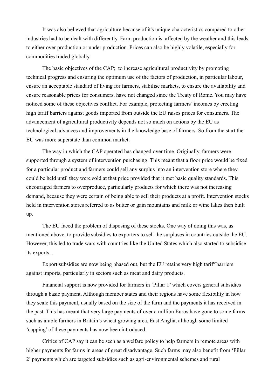It was also believed that agriculture because of it's unique characteristics compared to other industries had to be dealt with differently. Farm production is affected by the weather and this leads to either over production or under production. Prices can also be highly volatile, especially for commodities traded globally.

The basic objectives of the CAP; to increase agricultural productivity by promoting technical progress and ensuring the optimum use of the factors of production, in particular labour, ensure an acceptable standard of living for farmers, stabilise markets, to ensure the availability and ensure reasonable prices for consumers, have not changed since the Treaty of Rome. You may have noticed some of these objectives conflict. For example, protecting farmers' incomes by erecting high tariff barriers against goods imported from outside the EU raises prices for consumers. The advancement of agricultural productivity depends not so much on actions by the EU as technological advances and improvements in the knowledge base of farmers. So from the start the EU was more superstate than common market.

The way in which the CAP operated has changed over time. Originally, farmers were supported through a system of intervention purchasing. This meant that a floor price would be fixed for a particular product and farmers could sell any surplus into an intervention store where they could be held until they were sold at that price provided that it met basic quality standards. This encouraged farmers to overproduce, particularly products for which there was not increasing demand, because they were certain of being able to sell their products at a profit. Intervention stocks held in intervention stores referred to as butter or gain mountains and milk or wine lakes then built up.

The EU faced the problem of disposing of these stocks. One way of doing this was, as mentioned above, to provide subsidies to exporters to sell the surpluses in countries outside the EU. However, this led to trade wars with countries like the United States which also started to subsidise its exports. .

Export subsidies are now being phased out, but the EU retains very high tariff barriers against imports, particularly in sectors such as meat and dairy products.

Financial support is now provided for farmers in 'Pillar 1' which covers general subsidies through a basic payment. Although member states and their regions have some flexibility in how they scale this payment, usually based on the size of the farm and the payments it has received in the past. This has meant that very large payments of over a million Euros have gone to some farms such as arable farmers in Britain's wheat growing area, East Anglia, although some limited 'capping' of these payments has now been introduced.

Critics of CAP say it can be seen as a welfare policy to help farmers in remote areas with higher payments for farms in areas of great disadvantage. Such farms may also benefit from 'Pillar 2' payments which are targeted subsidies such as agri-environmental schemes and rural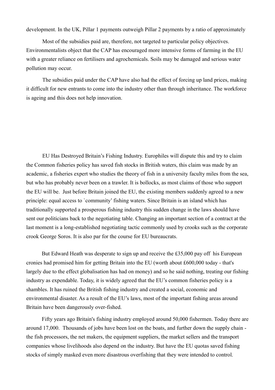development. In the UK, Pillar 1 payments outweigh Pillar 2 payments by a ratio of approximately

Most of the subsidies paid are, therefore, not targeted to particular policy objectives. Environmentalists object that the CAP has encouraged more intensive forms of farming in the EU with a greater reliance on fertilisers and agrochemicals. Soils may be damaged and serious water pollution may occur.

The subsidies paid under the CAP have also had the effect of forcing up land prices, making it difficult for new entrants to come into the industry other than through inheritance. The workforce is ageing and this does not help innovation.

EU Has Destroyed Britain's Fishing Industry. Europhiles will dispute this and try to claim the Common fisheries policy has saved fish stocks in British waters, this claim was made by an academic, a fisheries expert who studies the theory of fish in a university faculty miles from the sea, but who has probably never been on a trawler. It is bollocks, as most claims of those who support the EU will be. Just before Britain joined the EU, the existing members suddenly agreed to a new principle: equal access to `community' fishing waters. Since Britain is an island which has traditionally supported a prosperous fishing industry this sudden change in the laws should have sent our politicians back to the negotiating table. Changing an important section of a contract at the last moment is a long-established negotiating tactic commonly used by crooks such as the corporate crook George Soros. It is also par for the course for EU bureaucrats.

But Edward Heath was desperate to sign up and receive the £35,000 pay off his European cronies had promised him for getting Britain into the EU (worth about £600,000 today - that's largely due to the effect globalisation has had on money) and so he said nothing, treating our fishing industry as expendable. Today, it is widely agreed that the EU's common fisheries policy is a shambles. It has ruined the British fishing industry and created a social, economic and environmental disaster. As a result of the EU's laws, most of the important fishing areas around Britain have been dangerously over-fished.

Fifty years ago Britain's fishing industry employed around 50,000 fishermen. Today there are around 17,000. Thousands of jobs have been lost on the boats, and further down the supply chain the fish processors, the net makers, the equipment suppliers, the market sellers and the transport companies whose livelihoods also depend on the industry. But have the EU quotas saved fishing stocks of simply masked even more disastrous overfishing that they were intended to control.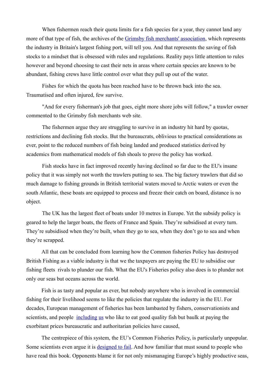When fishermen reach their quota limits for a fish species for a year, they cannot land any more of that type of fish, the archives of the [Grimsby fish merchants' association,](http://www.grimsbyfishmerchants.co.uk/) which represents the industry in Britain's largest fishing port, will tell you. And that represents the saving of fish stocks to a mindset that is obsessed with rules and regulations. Reality pays little attention to rules however and beyond choosing to cast their nets in areas where certain species are known to be abundant, fishing crews have little control over what they pull up out of the water.

Fishes for which the quota has been reached have to be thrown back into the sea. Traumatised and often injured, few survive.

"And for every fisherman's job that goes, eight more shore jobs will follow," a trawler owner commented to the Grimsby fish merchants web site.

The fishermen argue they are struggling to survive in an industry hit hard by quotas, restrictions and declining fish stocks. But the bureaucrats, oblivious to practical considerations as ever, point to the reduced numbers of fish being landed and produced statistics derived by academics from mathematical models of fish shoals to prove the policy has worked.

Fish stocks have in fact improved recently having declined so far due to the EU's insane policy that it was simply not worth the trawlers putting to sea. The big factory trawlers that did so much damage to fishing grounds in British territorial waters moved to Arctic waters or even the south Atlantic, these boats are equipped to process and freeze their catch on board, distance is no object.

The UK has the largest fleet of boats under 10 metres in Europe. Yet the subsidy policy is geared to help the larger boats, the fleets of France and Spain. They're subsidised at every turn. They're subsidised when they're built, when they go to sea, when they don't go to sea and when they're scrapped.

All that can be concluded from learning how the Common fisheries Policy has destroyed British Fishing as a viable industry is that we the taxpayers are paying the EU to subsidise our fishing fleets rivals to plunder our fish. What the EU's Fisheries policy also does is to plunder not only our seas but oceans across the world.

Fish is as tasty and popular as ever, but nobody anywhere who is involved in commercial fishing for their livelihood seems to like the policies that regulate the industry in the EU. For decades, European management of fisheries has been lambasted by fishers, conservationists and scientists, and people [including](https://www.researchgate.net/publication/232912553_Fisheries_Discards_in_the_North_Sea_Waste_of_Resources_or_a_Necessary_Evil) [us](http://www.sciencedirect.com/science/article/pii/S0308597X15003206) who like to eat good quality fish but baulk at paying the exorbitant prices bureaucratic and authoritarian policies have caused,

The centrepiece of this system, the EU's Common Fisheries Policy, is particularly unpopular. Some scientists even argue it is [designed to fail.](http://www.sciencedirect.com/science/article/pii/S0308597X10000709) And how familiar that must sound to people who have read this book. Opponents blame it for not only mismanaging Europe's highly productive seas,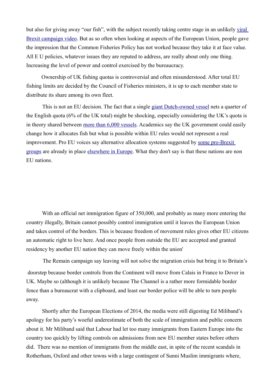but also for giving away "our fish", with the subject recently taking centre stage in an unlikely [viral](https://theconversation.com/www.youtube.com/watch?v=BBi-KXc0CRk) [Brexit campaign video.](https://theconversation.com/www.youtube.com/watch?v=BBi-KXc0CRk) But as so often when looking at aspects of the European Union, people gave the impression that the Common Fisheries Policy has not worked because they take it at face value. All E U policies, whatever issues they are reputed to address, are really about only one thing. Increasing the level of power and control exercised by the bureaucracy.

Ownership of UK fishing quotas is controversial and often misunderstood. After total EU fishing limits are decided by the Council of Fisheries ministers, it is up to each member state to distribute its share among its own fleet.

This is not an EU decision. The fact that a single [giant Dutch-owned vessel](http://www.dailymail.co.uk/news/article-2821284/EU-lets-one-Dutch-ship-net-QUARTER-England-s-fishing-quota-Holland-holds-23-permits.html) nets a quarter of the English quota (6% of the UK total) might be shocking, especially considering the UK's quota is in theory shared between [more than 6,000 vessels.](https://www.gov.uk/government/uploads/system/uploads/attachment_data/file/462753/UK_Sea_Fisheries_Statistics_2014_-_online_version.pdf) Academics say the UK government could easily change how it allocates fish but what is possible within EU rules would not represent a real improvement. Pro EU voices say alternative allocation systems suggested by [some pro-Brexit](http://www.iea.org.uk/sites/default/files/publications/files/Entry23_Cutting%20the%20Gordian%20knot_web.pdf) [groups](http://www.iea.org.uk/sites/default/files/publications/files/Entry23_Cutting%20the%20Gordian%20knot_web.pdf) are already in place [elsewhere in Europe.](http://www.europarl.europa.eu/RegData/etudes/STUD/2015/540357/IPOL_STU(2015)540357_EN.pdf) What they don't say is that these nations are non EU nations.

With an official net immigration figure of 350,000, and probably as many more entering the country illegally, Britain cannot possibly control immigration until it leaves the European Union and takes control of the borders. This is because freedom of movement rules gives other EU citizens an automatic right to live here. And once people from outside the EU are accepted and granted residency by another EU nation they can move freely within the union'

The Remain campaign say leaving will not solve the migration crisis but bring it to Britain's doorstep because border controls from the Continent will move from Calais in France to Dover in UK. Maybe so (although it is unlikely because The Channel is a rather more formidable border fence than a bureaucrat with a clipboard, and least our border police will be able to turn people away.

Shortly after the European Elections of 2014, the media were still digesting Ed Miliband's apology for his party's woeful underestimate of both the scale of immigration and public concern about it. Mr Miliband said that Labour had let too many immigrants from Eastern Europe into the country too quickly by lifting controls on admissions from new EU member states before others did. There was no mention of immigrants from the middle east, in spite of the recent scandals in Rotherham, Oxford and other towns with a large contingent of Sunni Muslim immigrants where,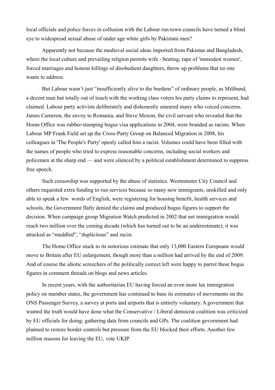local officials and police forces in collusion with the Labour run town councils have turned a blind eye to widespread sexual abuse of under age white girls by Pakistani men?

Apparently not because the medieval social ideas imported from Pakistan and Bangladesh, where the local culture and prevailing religion permits wife - beating, rape of 'immodest women', forced marriages and honour killings of disobedient daughters, throw up problems that no one wants to address.

But Labour wasn't just "insufficiently alive to the burdens" of ordinary people, as Miliband, a decent man but totally out of touch with the working class voters his party claims to represent, had claimed. Labour party activists deliberately and dishonestly smeared many who voiced concerns. James Cameron, the envoy to Romania, and Steve Moxon, the civil servant who revealed that the Home Office was rubber-stamping bogus visa applications in 2004, were branded as racists. When Labour MP Frank Field set up the Cross-Party Group on Balanced Migration in 2008, his colleagues in 'The People's Party' openly called him a racist. Volumes could have been filled with the names of people who tried to express reasonable concerns, including social workers and policemen at the sharp end — and were silenced by a political establishment determined to suppress free speech.

Such censorship was supported by the abuse of statistics. Westminster City Council and others requested extra funding to run services because so many new immigrants, unskilled and only able to speak a few words of English, were registering for housing benefit, health services and schools, the Government flatly denied the claims and produced bogus figures to support the decision. When campaign group Migration Watch predicted in 2002 that net immigration would reach two million over the coming decade (which has turned out to be an underestimate), it was attacked as "muddled", "duplicitous" and racist.

The Home Office stuck to its notorious estimate that only 13,000 Eastern Europeans would move to Britain after EU enlargement, though more than a million had arrived by the end of 2009. And of course the idiotic screechers of the politically correct left were happy to parrot these bogus figures in comment threads on blogs and news articles.

In recent years, with the authoritarian EU having forced an even more lax immigration policy on member states, the government has continued to base its estimates of movements on the ONS Passenger Survey, a survey at ports and airports that is entirely voluntary. A government that wanted the truth would have done what the Conservative / Liberal democrat coalition was criticized by EU officials for doing; gathering data from councils and GPs. The coalition government had planned to restore border controls but pressure from the EU blocked their efforts. Another few million reasons for leaving the EU, vote UKIP.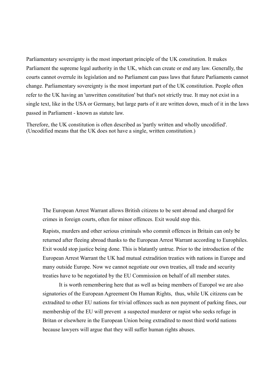Parliamentary sovereignty is the most important principle of the UK constitution. It makes Parliament the supreme legal authority in the UK, which can create or end any law. Generally, the courts cannot overrule its legislation and no Parliament can pass laws that future Parliaments cannot change. Parliamentary sovereignty is the most important part of the UK constitution. People often refer to the UK having an 'unwritten constitution' but that's not strictly true. It may not exist in a single text, like in the USA or Germany, but large parts of it are written down, much of it in the laws passed in Parliament - known as statute law.

Therefore, the UK constitution is often described as 'partly written and wholly uncodified'. (Uncodified means that the UK does not have a single, written constitution.)

The European Arrest Warrant allows British citizens to be sent abroad and charged for crimes in foreign courts, often for minor offences. Exit would stop this.

Rapists, murders and other serious criminals who commit offences in Britain can only be returned after fleeing abroad thanks to the European Arrest Warrant according to Europhiles. Exit would stop justice being done. This is blatantly untrue. Prior to the introduction of the European Arrest Warrant the UK had mutual extradition treaties with nations in Europe and many outside Europe. Now we cannot negotiate our own treaties, all trade and security treaties have to be negotiated by the EU Commission on behalf of all member states.

It is worth remembering here that as well as being members of Europol we are also signatories of the European Agreement On Human Rights, thus, while UK citizens can be extradited to other EU nations for trivial offences such as non payment of parking fines, our membership of the EU will prevent a suspected murderer or rapist who seeks refuge in Britan or elsewhere in the European Union being extradited to most third world nations because lawyers will argue that they will suffer human rights abuses.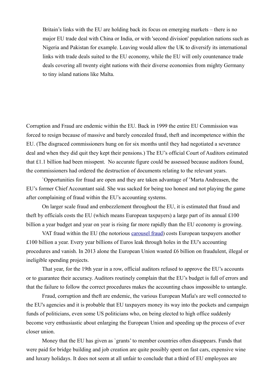Britain's links with the EU are holding back its focus on emerging markets – there is no major EU trade deal with China or India, or with 'second division' population nations such as Nigeria and Pakistan for example. Leaving would allow the UK to diversify its international links with trade deals suited to the EU economy, while the EU will only countenance trade deals covering all twenty eight nations with their diverse economies from mighty Germany to tiny island nations like Malta.

Corruption and Fraud are endemic within the EU. Back in 1999 the entire EU Commission was forced to resign because of massive and barely concealed fraud, theft and incompetence within the EU. (The disgraced commissioners hung on for six months until they had negotiated a severance deal and when they did quit they kept their pensions.) The EU's official Court of Auditors estimated that £1.1 billion had been misspent. No accurate figure could be assessed because auditors found, the commissioners had ordered the destruction of documents relating to the relevant years.

`Opportunities for fraud are open and they are taken advantage of 'Marta Andreasen, the EU's former Chief Accountant said. She was sacked for being too honest and not playing the game after complaining of fraud within the EU's accounting systems.

On larger scale fraud and embezzlement throughout the EU, it is estimated that fraud and theft by officials costs the EU (which means European taxpayers) a large part of its annual £100 billion a year budget and year on year is rising far more rapidly than the EU economy is growing.

VAT fraud within the EU (the notorious [carousel fraud\)](https://tax.network/rainsworth/carousel-fraud-in-the-eu-a-digital-vat-solution/) costs European taxpayers another £100 billion a year. Every year billions of Euros leak through holes in the EU's accounting procedures and vanish. In 2013 alone the European Union wasted £6 billion on fraudulent, illegal or ineligible spending projects.

That year, for the 19th year in a row, official auditors refused to approve the EU's accounts or to guarantee their accuracy. Auditors routinely complain that the EU's budget is full of errors and that the failure to follow the correct procedures makes the accounting chaos impossible to untangle.

Fraud, corruption and theft are endemic, the various European Mafia's are well connected to the EU's agencies and it is probable that EU taxpayers money its way into the pockets and campaign funds of politicians, even some US politicians who, on being elected to high office suddenly become very enthusiastic about enlarging the European Union and speeding up the process of ever closer union.

Money that the EU has given as `grants' to member countries often disappears. Funds that were paid for bridge building and job creation are quite possibly spent on fast cars, expensive wine and luxury holidays. It does not seem at all unfair to conclude that a third of EU employees are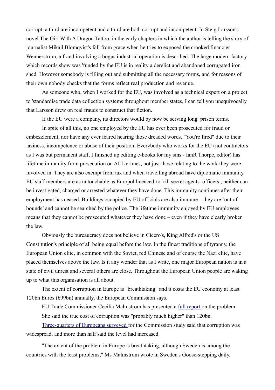corrupt, a third are incompetent and a third are both corrupt and incompetent. In Steig Larsson's novel The Girl With A Dragon Tattoo, in the early chapters in which the author is telling the story of journalist Mikail Blomqvist's fall from grace when he tries to exposed the crooked financier Wennerstrom, a fraud involving a bogus industrial operation is described. The large modern factory which records show was 'funded by the EU is in reality a derelict and abandoned corrugated iron shed. However somebody is filling out and submitting all the necessary forms, and for reasons of their own nobody checks that the forms reflect real production and revenue.

As someone who, when I worked for the EU, was involved as a technical expert on a project to 'standardise trade data collection systems throughout member states, I can tell you unequivocally that Larsson drew on real frauds to construct that fiction.

If the EU were a company, its directors would by now be serving long prison terms.

In spite of all this, no one employed by the EU has ever been prosecuted for fraud or embezzlement, nor have any ever feared hearing those dreaded words, "You're fired" due to their laziness, incompetence or abuse of their position. Everybody who works for the EU (not contractors as I was but permanent staff, I finished up editing e-books for my sins - IanR Thorpe, editor) has lifetime immunity from prosecution on ALL crimes, not just those relating to the work they were involved in. They are also exempt from tax and when travelling abroad have diplomatic immunity. EU staff members are as untouchable as Europol licenced-to-kill secret agents officers, neither can be investigated, charged or arrested whatever they have done. This immunity continues after their employment has ceased. Buildings occupied by EU officials are also immune – they are `out of bounds' and cannot be searched by the police. The lifetime immunity enjoyed by EU employees means that they cannot be prosecuted whatever they have done – even if they have clearly broken the law.

Obviously the bureaucracy does not believe in Cicero's, King Alfred's or the US Constitution's principle of all being equal before the law. In the finest traditions of tyranny, the European Union elite, in common with the Soviet, red Chinese and of course the Nazi elite, have placed themselves above the law. Is it any wonder that as I write, one major European nation is in a state of civil unrest and several others are close. Throughout the European Union people are waking up to what this organisation is all about.

The extent of corruption in Europe is "breathtaking" and it costs the EU economy at least 120bn Euros (£99bn) annually, the European Commission says.

EU Trade Commissioner Cecilia Malmstrom has presented a [full report o](http://ec.europa.eu/dgs/home-affairs/e-library/documents/policies/organized-crime-and-human-trafficking/corruption/docs/acr_2014_en.pdf)n the problem. She said the true cost of corruption was "probably much higher" than 120bn.

[Three-quarters of Europeans surveyed f](http://ec.europa.eu/public_opinion/archives/ebs/ebs_397_en.pdf)or the Commission study said that corruption was widespread, and more than half said the level had increased.

"The extent of the problem in Europe is breathtaking, although Sweden is among the countries with the least problems," Ms Malmstrom wrote in Sweden's Goose-stepping daily.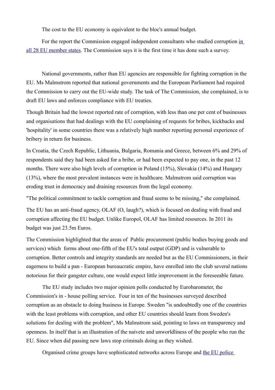The cost to the EU economy is equivalent to the bloc's annual budget.

For the report the Commission engaged independent consultants who studied corruption [in](http://europa.eu/rapid/press-release_MEMO-14-67_en.htm) [all 28 EU member states.](http://europa.eu/rapid/press-release_MEMO-14-67_en.htm) The Commission says it is the first time it has done such a survey.

National governments, rather than EU agencies are responsible for fighting corruption in the EU. Ms Malmstrom reported that national governments and the European Parliament had required the Commission to carry out the EU-wide study. The task of The Commission, she complained, is to draft EU laws and enforces compliance with EU treaties.

Though Britain had the lowest reported rate of corruption, with less than one per cent of businesses and organisations that had dealings with the EU complaining of requests for bribes, kickbacks and 'hospitality' in some countries there was a relatively high number reporting personal experience of bribery in return for business.

In Croatia, the Czech Republic, Lithuania, Bulgaria, Romania and Greece, between 6% and 29% of respondents said they had been asked for a bribe, or had been expected to pay one, in the past 12 months. There were also high levels of corruption in Poland (15%), Slovakia (14%) and Hungary (13%), where the most prevalent instances were in healthcare. Malmstrom said corruption was eroding trust in democracy and draining resources from the legal economy.

"The political commitment to tackle corruption and fraud seems to be missing," she complained.

The EU has an anti-fraud agency, OLAF (O, laugh?), which is focused on dealing with fraud and corruption affecting the EU budget. Unlike Europol, OLAF has limited resources. In 2011 its budget was just 23.5m Euros.

The Commission highlighted that the areas of Public procurement (public bodies buying goods and services) which forms about one-fifth of the EU's total output (GDP) and is vulnerable to corruption. Better controls and integrity standards are needed but as the EU Commissioners, in their eagerness to build a pan - European bureaucratic empire, have enrolled into the club several nations notorious for their gangster culture, one would expect little improvement in the foreseeable future.

The EU study includes two major opinion polls conducted by Eurobarometer, the Commission's in - house polling service. Four in ten of the businesses surveyed described corruption as an obstacle to doing business in Europe. Sweden "is undoubtedly one of the countries with the least problems with corruption, and other EU countries should learn from Sweden's solutions for dealing with the problem", Ms Malmstrom said, pointing to laws on transparency and openness. In itself that is an illustration of the naivete and unworldliness of the people who run the EU. Since when did passing new laws stop criminals doing as they wished.

Organised crime groups have sophisticated networks across Europe and [the EU police](http://www.eu-ems.com/event_images/Downloads/Rob%20Wainwright.pdf)